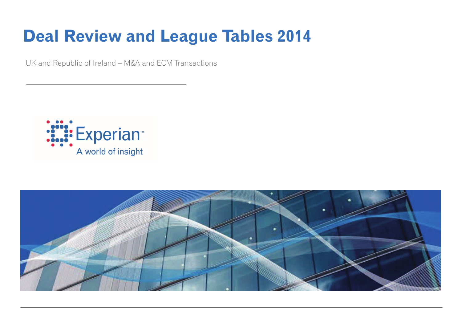# **Deal Review and League Tables 2014**

UK and Republic of Ireland – M&A and ECM Transactions



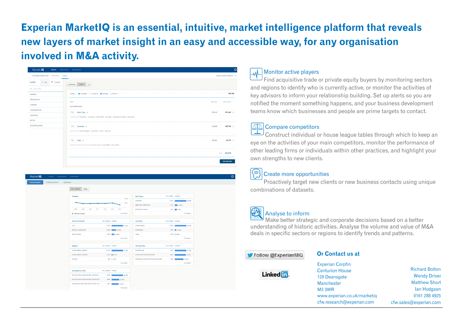## Experian MarketIQ is an essential, intuitive, market intelligence platform that reveals new layers of market insight in an easy and accessible way, for any organisation involved in M&A activity.

| Market IQ<br>Search                                                    | Bookmarks Downloads                                                                                     |           | $\ddot{\mathbf{Q}}$       |
|------------------------------------------------------------------------|---------------------------------------------------------------------------------------------------------|-----------|---------------------------|
| EXTENDED SEARCH FOR<br>COMPANIES                                       | <b>DEALS</b>                                                                                            |           | Switch to QUICK SEARCH -> |
| P FLAGGED<br>$\equiv$ ALL<br><b>FILTERS</b><br><b>Q</b> Search filters | Details   ★<br>Summary                                                                                  |           |                           |
| <b>GENERAL</b>                                                         | Complete C Cancelled C Pending C Rumour<br>Include                                                      |           | 397,786                   |
| <b>PROFESSIONS</b><br>COMPANY                                          | Match                                                                                                   | Net Count | <b>Gross Count</b>        |
| CONSIDERATION                                                          | ALL the filters below<br>ALL Main Type $\phi$                                                           | 387,110   | 387,110 $\times$          |
| <b>FINANCIALS</b><br><b>RATIOS</b>                                     | Consider Any of Acquisition - Acquisition - Tender Offer - Demerger - Development Capital - Divestment  |           |                           |
| <b>KEYWORD SEARCH</b>                                                  | ALL <b>Location</b> $\varnothing$<br>Consider Any of United Kingdom - Isle of Man - Jersey - Guernsey   | 113,968   | $109,716 \times$          |
|                                                                        | ALL Date $\varnothing$<br>Consider Any Records with Announced Date between 1 Jan, 2008 and 31 Jul, 2014 | 182,201   | $33,773 \times$           |
|                                                                        |                                                                                                         |           | Total 33,773              |
|                                                                        |                                                                                                         |           | <b>View Results</b>       |

| Market IQ               | Search Bookmarks Downloads        |                                                   |                       |                    |                                                     |                       |                       |  |
|-------------------------|-----------------------------------|---------------------------------------------------|-----------------------|--------------------|-----------------------------------------------------|-----------------------|-----------------------|--|
| <b>General Analysis</b> | Professional Firms<br>Individuals |                                                   |                       |                    |                                                     |                       |                       |  |
|                         |                                   | Value<br>No. of deals                             |                       |                    |                                                     |                       |                       |  |
|                         |                                   | Timeline                                          |                       | 10,000             | <b>Deal Types</b>                                   | No. of deals 96 Deals |                       |  |
|                         |                                   |                                                   |                       | 5,000              | Acquisition                                         | 17,921                | 33,004                |  |
|                         |                                   |                                                   |                       | $\circ$            | Rights Issue / Other Issue                          |                       | 4,115 12.18%          |  |
|                         |                                   | 2008<br>2009<br>2010<br>2011                      | 2012<br>2012          | 2014               | Development Capital                                 |                       | 2,672 3.50%           |  |
|                         |                                   | · Number of deals                                 |                       | <b>Full report</b> |                                                     |                       | Full report           |  |
|                         |                                   |                                                   |                       |                    |                                                     |                       |                       |  |
|                         |                                   | <b>Sources of Funds</b>                           | No. of deals 96 Deals |                    | <b>Countries</b>                                    | No. of deals 96 Deals |                       |  |
|                         |                                   | Cash                                              | 17,363                | 51.41%             | <b>United Kingdom</b>                               | 31,584                | 93.52%                |  |
|                         |                                   | Existing / Not Disclosed                          | 6,822 20.20%          |                    | United States                                       |                       | 3,889 21.52%          |  |
|                         |                                   | Venture Capital                                   | 4,384 22,98%          |                    | Jersey                                              |                       | 1,199   3,55%         |  |
|                         |                                   |                                                   |                       | <b>Full report</b> |                                                     |                       | Full report           |  |
|                         |                                   | <b>Regions</b>                                    | No. of deals % Deals  |                    | <b>UK Industries</b>                                | No. of deals 96 Deals |                       |  |
|                         |                                   | United Kingdom, England                           |                       |                    |                                                     |                       |                       |  |
|                         |                                   |                                                   | 24,770                | 73.3496            | Manufacturing<br>Financial and Insurance activities | 9,363                 | 27.72%                |  |
|                         |                                   | United Kingdom, Scotland                          | 2,321 6.87%           |                    |                                                     | 8,886                 | 26.31%                |  |
|                         |                                   | Guernsey                                          | 854   2.53%           | <b>Full report</b> | Professional, scientific and technical activities   | 7,065                 | 20.92%<br>Full report |  |
|                         |                                   |                                                   |                       |                    |                                                     |                       |                       |  |
|                         |                                   | <b>US Industries (SIC)</b>                        | No. of deals 96 Deals |                    |                                                     |                       |                       |  |
|                         |                                   | Financial and Insurance activities   Activities a | 0,975                 | 20.65%             |                                                     |                       |                       |  |
|                         |                                   | Financial and Insurance activities   Financial se | 4,092                 | 13.89%             |                                                     |                       |                       |  |
|                         |                                   | Wholesale and retail trade; repair of motor veh   | 4,367                 | 12.93%             |                                                     |                       |                       |  |
|                         |                                   |                                                   |                       | <b>Full report</b> |                                                     |                       |                       |  |

#### Monitor active players

Find acquisitive trade or private equity buyers by monitoring sectors and regions to identify who is currently active, or monitor the activities of key advisors to inform your relationship building. Set up alerts so you are notified the moment something happens, and your business development teams know which businesses and people are prime targets to contact.

#### **△△△** Compare competitors

Construct individual or house league tables through which to keep an eye on the activities of your main competitors, monitor the performance of other leading firms or individuals within other practices, and highlight your own strengths to new clients.

#### Create more opportunities

Proactively target new clients or new business contacts using unique combinations of datasets.



#### Analyse to inform

Make better strategic and corporate decisions based on a better understanding of historic activities. Analyse the volume and value of M&A deals in specific sectors or regions to identify trends and patterns.

#### Follow @ExperianMIQ

#### **Or Contact us at**



**Experian Corpfin Centurion House** 129 Deansgate Manchester **M3 3WR** www.experian.co.uk/marketig cfw.research@experian.com

**Richard Bolton Wendy Driver Matthew Short** lan Hodgson 0161 288 4925 cfw.sales@experian.com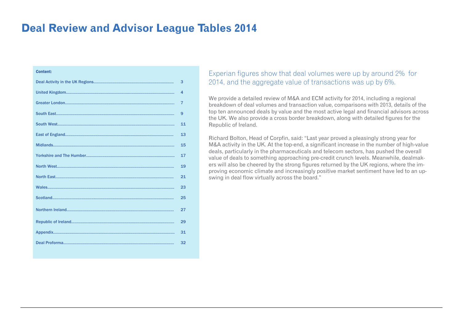#### **Deal Review and Advisor League Tables 2014**

#### Content:

| 3              |
|----------------|
| 4              |
| $\overline{7}$ |
| 9              |
| 11             |
| 13             |
| 15             |
| 17             |
| 19             |
| 21             |
| 23             |
| 25             |
| 27             |
| 29             |
| 31             |
| 32             |
|                |

#### Experian figures show that deal volumes were up by around 2% for 2014, and the aggregate value of transactions was up by 6%.

We provide a detailed review of M&A and ECM activity for 2014, including a regional breakdown of deal volumes and transaction value, comparisons with 2013, details of the top ten announced deals by value and the most active legal and financial advisors across the UK. We also provide a cross border breakdown, along with detailed figures for the Republic of Ireland.

Richard Bolton, Head of Corpfin, said: "Last year proved a pleasingly strong year for M&A activity in the UK. At the top-end, a significant increase in the number of high-value deals, particularly in the pharmaceuticals and telecom sectors, has pushed the overall value of deals to something approaching pre-credit crunch levels. Meanwhile, dealmakers will also be cheered by the strong figures returned by the UK regions, where the improving economic climate and increasingly positive market sentiment have led to an upswing in deal flow virtually across the board."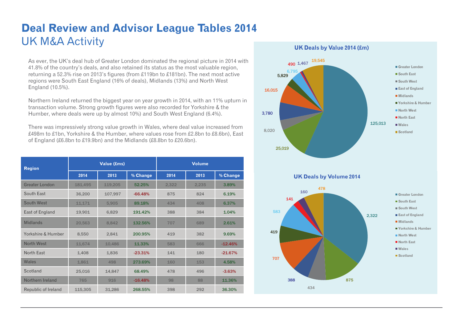## **Deal Review and Advisor League Tables 2014**  UK M&A Activity

As ever, the UK's deal hub of Greater London dominated the regional picture in 2014 with 41.8% of the country's deals, and also retained its status as the most valuable region, returning a 52.3% rise on 2013's figures (from £119bn to £181bn). The next most active regions were South East England (16% of deals), Midlands (13%) and North West England (10.5%).

Northern Ireland returned the biggest year on year growth in 2014, with an 11% upturn in transaction volume. Strong growth figures were also recorded for Yorkshire & the Humber, where deals were up by almost 10%) and South West England (6.4%).

There was impressively strong value growth in Wales, where deal value increased from £498m to £1bn, Yorkshire & the Humber, where values rose from £2.8bn to £8.6bn), East of England (£6.8bn to £19.9bn) and the Midlands (£8.8bn to £20.6bn).

| <b>Region</b>         |         | <b>Value (£ms)</b> |           | <b>Volume</b> |       |           |  |
|-----------------------|---------|--------------------|-----------|---------------|-------|-----------|--|
|                       | 2014    | 2013               | % Change  | 2014          | 2013  | % Change  |  |
| <b>Greater London</b> | 181,495 | 119,205            | 52.25%    | 2,322         | 2,235 | 3.89%     |  |
| South East            | 36,200  | 107,997            | $-66.48%$ | 875           | 824   | 6.19%     |  |
| South West            | 11,171  | 5,905              | 89.18%    | 434           | 408   | 6.37%     |  |
| East of England       | 19,901  | 6,829              | 191.42%   | 388           | 384   | 1.04%     |  |
| <b>Midlands</b>       | 20,563  | 8,842              | 132.56%   | 707           | 689   | 2.61%     |  |
| Yorkshire & Humber    | 8,550   | 2,841              | 200.95%   | 419           | 382   | 9.69%     |  |
| North West            | 11,674  | 10,486             | 11.33%    | 583           | 666   | $-12.46%$ |  |
| North East            | 1,408   | 1,836              | $-23.31%$ | 141           | 180   | $-21.67%$ |  |
| Wales                 | 1,861   | 498                | 273.69%   | 160           | 153   | 4.58%     |  |
| Scotland              | 25,016  | 14,847             | 68.49%    | 478           | 496   | $-3.63%$  |  |
| Northern Ireland      | 765     | 916                | $-16.48%$ | 98            | 88    | 11.36%    |  |
| Republic of Ireland   | 115,305 | 31,286             | 268.55%   | 398           | 292   | 36.30%    |  |



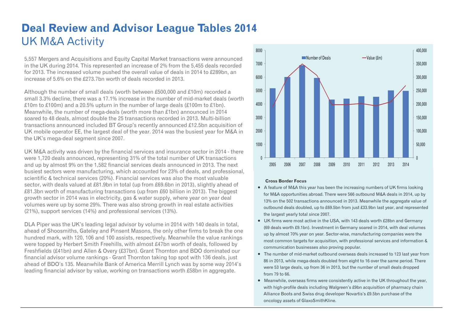### **Deal Review and Advisor League Tables 2014**  UK M&A Activity

5,557 Mergers and Acquisitions and Equity Capital Market transactions were announced in the UK during 2014. This represented an increase of 2% from the 5,455 deals recorded for 2013. The increased volume pushed the overall value of deals in 2014 to £289bn, an increase of 5.6% on the £273.7bn worth of deals recorded in 2013.

Although the number of small deals (worth between £500,000 and £10m) recorded a small 3.3% decline, there was a 17.1% increase in the number of mid-market deals (worth £10m to £100m) and a 20.5% upturn in the number of large deals (£100m to £1bn). Meanwhile, the number of mega-deals (worth more than £1bn) announced in 2014 soared to 48 deals, almost double the 25 transactions recorded in 2013. Multi-billion transactions announced included BT Group's recently announced £12.5bn acquisition of UK mobile operator EE, the largest deal of the year. 2014 was the busiest year for M&A in the UK's mega-deal segment since 2007.

UK M&A activity was driven by the financial services and insurance sector in 2014 - there were 1,720 deals announced, representing 31% of the total number of UK transactions and up by almost 9% on the 1,582 financial services deals announced in 2013. The next busiest sectors were manufacturing, which accounted for 23% of deals, and professional, scientific & technical services (20%). Financial services was also the most valuable sector, with deals valued at £81.9bn in total (up from £69.6bn in 2013), slightly ahead of £81.3bn worth of manufacturing transactions (up from £60 billion in 2013). The biggest growth sector in 2014 was in electricity, gas & water supply, where year on year deal volumes were up by some 29%. There was also strong growth in real estate activities (21%), support services (14%) and professional services (13%).

DLA Piper was the UK's leading legal advisor by volume in 2014 with 140 deals in total, ahead of Shoosmiths, Gateley and Pinsent Masons, the only other firms to break the one hundred mark, with 120, 106 and 100 assists, respectively. Meanwhile the value rankings were topped by Herbert Smith Freehills, with almost £47bn worth of deals, followed by Freshfields (£41bn) and Allen & Overy (£37bn). Grant Thornton and BDO dominated our financial advisor volume rankings - Grant Thornton taking top spot with 136 deals, just ahead of BDO's 135. Meanwhile Bank of America Merrill Lynch was by some way 2014's leading financial advisor by value, working on transactions worth £58bn in aggregate.



#### **Cross Border Focus**

- A feature of M&A this year has been the increasing numbers of UK firms looking for M&A opportunities abroad. There were 566 outbound M&A deals in 2014, up by 13% on the 502 transactions announced in 2013. Meanwhile the aggregate value of outbound deals doubled, up to £69.5bn from just £33.9bn last year, and represented the largest yearly total since 2007.
- UK firms were most active in the USA, with 143 deals worth £28bn and Germany (69 deals worth £9.1bn). Investment in Germany soared in 2014, with deal volumes up by almost 70% year on year. Sector-wise, manufacturing companies were the most common targets for acquisition, with professional services and information & communication businesses also proving popular.
- The number of mid-market outbound overseas deals increased to 123 last year from 86 in 2013, while mega-deals doubled from eight to 16 over the same period. There were 53 large deals, up from 36 in 2013, but the number of small deals dropped from 79 to 66.
- Meanwhile, overseas firms were consistently active in the UK throughout the year, with high-profile deals including Walgreen's £9bn acquisition of pharmacy chain Alliance Boots and Swiss drug developer Novartis's £9.5bn purchase of the oncology assets of GlaxoSmithKline.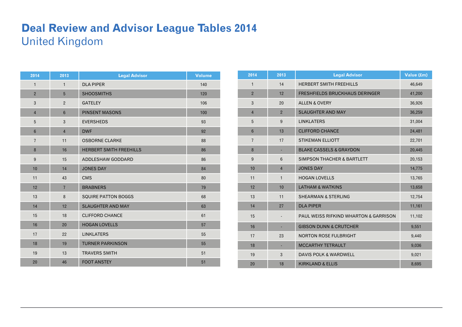### **Deal Review and Advisor League Tables 2014**  United Kingdom

| 2014           | 2013           | <b>Legal Advisor</b>           | <b>Volume</b> |
|----------------|----------------|--------------------------------|---------------|
| $\mathbf{1}$   | $\mathbf{1}$   | <b>DLA PIPER</b>               | 140           |
| $\overline{2}$ | 5              | <b>SHOOSMITHS</b>              | 120           |
| 3              | $\overline{2}$ | <b>GATELEY</b>                 | 106           |
| $\overline{4}$ | $6\phantom{1}$ | <b>PINSENT MASONS</b>          | 100           |
| 5              | 3              | <b>EVERSHEDS</b>               | 93            |
| $6\phantom{1}$ | $\overline{4}$ | <b>DWF</b>                     | 92            |
| $\overline{7}$ | 11             | <b>OSBORNE CLARKE</b>          | 88            |
| 8              | 16             | <b>HERBERT SMITH FREEHILLS</b> | 86            |
| $9\,$          | 15             | ADDLESHAW GODDARD              | 86            |
| 10             | 14             | <b>JONES DAY</b>               | 84            |
| 11             | 43             | <b>CMS</b>                     | 80            |
| 12             | $\overline{7}$ | <b>BRABNERS</b>                | 79            |
| 13             | 8              | SQUIRE PATTON BOGGS            | 68            |
| 14             | 12             | <b>SLAUGHTER AND MAY</b>       | 63            |
| 15             | 18             | <b>CLIFFORD CHANCE</b>         | 61            |
| 16             | 20             | <b>HOGAN LOVELLS</b>           | 57            |
| 17             | 22             | <b>LINKLATERS</b>              | 55            |
| 18             | 19             | <b>TURNER PARKINSON</b>        | 55            |
| 19             | 13             | <b>TRAVERS SMITH</b>           | 51            |
| 20             | 46             | <b>FOOT ANSTEY</b>             | 51            |

| 2014           | 2013           | <b>Legal Advisor</b>                             | Value (£m) |
|----------------|----------------|--------------------------------------------------|------------|
| $\mathbf{1}$   | 14             | <b>HERBERT SMITH FREEHILLS</b>                   | 46,649     |
| $\overline{2}$ | 12             | <b>FRESHFIELDS BRUCKHAUS DERINGER</b>            | 41,200     |
| $\mathbf{3}$   | 20             | <b>ALLEN &amp; OVERY</b>                         | 36,926     |
| $\overline{4}$ | $\overline{2}$ | <b>SLAUGHTER AND MAY</b>                         | 36,259     |
| 5              | 9              | <b>LINKLATERS</b>                                | 31,004     |
| $6\phantom{1}$ | 13             | <b>CLIFFORD CHANCE</b>                           | 24,481     |
| $\overline{7}$ | 17             | <b>STIKEMAN ELLIOTT</b>                          | 22,701     |
| 8              |                | <b>BLAKE CASSELS &amp; GRAYDON</b>               | 20,445     |
| $9\,$          | $6\phantom{1}$ | <b>SIMPSON THACHER &amp; BARTLETT</b>            | 20,153     |
| 10             | $\overline{4}$ | <b>JONES DAY</b>                                 | 14,775     |
| 11             | $\mathbf{1}$   | <b>HOGAN LOVELLS</b>                             | 13,765     |
| 12             | 10             | <b>LATHAM &amp; WATKINS</b>                      | 13,658     |
| 13             | 11             | <b>SHEARMAN &amp; STERLING</b>                   | 12,754     |
| 14             | 27             | <b>DLA PIPER</b>                                 | 11,161     |
| 15             |                | <b>PAUL WEISS RIFKIND WHARTON &amp; GARRISON</b> | 11,102     |
| 16             |                | <b>GIBSON DUNN &amp; CRUTCHER</b>                | 9,551      |
| 17             | 23             | <b>NORTON ROSE FULBRIGHT</b>                     | 9,440      |
| 18             | ٠              | <b>MCCARTHY TETRAULT</b>                         | 9,036      |
| 19             | 3              | <b>DAVIS POLK &amp; WARDWELL</b>                 | 9,021      |
| 20             | 18             | <b>KIRKLAND &amp; ELLIS</b>                      | 8,695      |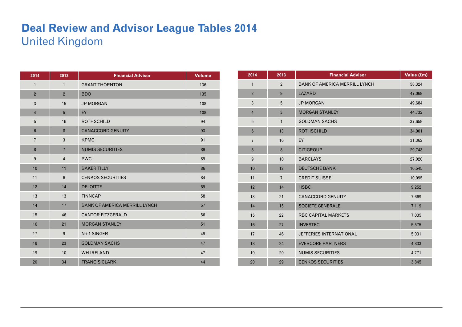## **Deal Review and Advisor League Tables 2014**  United Kingdom

| 2014           | 2013           | <b>Financial Advisor</b>             | <b>Volume</b> |
|----------------|----------------|--------------------------------------|---------------|
| $\mathbf{1}$   | $\mathbf{1}$   | <b>GRANT THORNTON</b>                | 136           |
| $\overline{2}$ | $\overline{2}$ | <b>BDO</b>                           | 135           |
| 3              | 15             | <b>JP MORGAN</b>                     | 108           |
| $\overline{4}$ | 5              | EY                                   | 108           |
| 5              | 16             | <b>ROTHSCHILD</b>                    | 94            |
| $6\phantom{1}$ | 8              | <b>CANACCORD GENUITY</b>             | 93            |
| $\overline{7}$ | 3              | <b>KPMG</b>                          | 91            |
| 8              | $\overline{7}$ | <b>NUMIS SECURITIES</b>              | 89            |
| 9              | $\overline{4}$ | <b>PWC</b>                           | 89            |
| 10             | 11             | <b>BAKER TILLY</b>                   | 86            |
| 11             | 6              | <b>CENKOS SECURITIES</b>             | 84            |
| 12             | 14             | <b>DELOITTE</b>                      | 69            |
| 13             | 13             | <b>FINNCAP</b>                       | 58            |
| 14             | 17             | <b>BANK OF AMERICA MERRILL LYNCH</b> | 57            |
| 15             | 46             | <b>CANTOR FITZGERALD</b>             | 56            |
| 16             | 21             | <b>MORGAN STANLEY</b>                | 51            |
| 17             | 9              | $N+1$ SINGER                         | 49            |
| 18             | 23             | <b>GOLDMAN SACHS</b>                 | 47            |
| 19             | 10             | <b>WH IRELAND</b>                    | 47            |
| 20             | 34             | <b>FRANCIS CLARK</b>                 | 44            |

| 2014            | 2013           | <b>Financial Advisor</b>             | Value (£m) |
|-----------------|----------------|--------------------------------------|------------|
| $\mathbf{1}$    | $\overline{2}$ | <b>BANK OF AMERICA MERRILL LYNCH</b> | 58,324     |
| $\overline{2}$  | 9              | <b>LAZARD</b>                        | 47,069     |
| 3               | 5              | <b>JP MORGAN</b>                     | 49,684     |
| $\overline{4}$  | 3              | <b>MORGAN STANLEY</b>                | 44,732     |
| 5               | $\mathbf{1}$   | <b>GOLDMAN SACHS</b>                 | 37,659     |
| $6\phantom{1}6$ | 13             | <b>ROTHSCHILD</b>                    | 34,001     |
| $\overline{7}$  | 16             | EY                                   | 31,362     |
| 8               | 8              | <b>CITIGROUP</b>                     | 29,743     |
| 9               | 10             | <b>BARCLAYS</b>                      | 27,020     |
| 10              | 12             | <b>DEUTSCHE BANK</b>                 | 16,545     |
| 11              | $\overline{7}$ | <b>CREDIT SUISSE</b>                 | 10,095     |
| 12              | 14             | <b>HSBC</b>                          | 9,252      |
| 13              | 21             | <b>CANACCORD GENUITY</b>             | 7,669      |
| 14              | 15             | <b>SOCIETE GENERALE</b>              | 7,119      |
| 15              | 22             | <b>RBC CAPITAL MARKETS</b>           | 7,035      |
| 16              | 27             | <b>INVESTEC</b>                      | 5,575      |
| 17              | 46             | <b>JEFFERIES INTERNATIONAL</b>       | 5,031      |
| 18              | 24             | <b>EVERCORE PARTNERS</b>             | 4,833      |
| 19              | 20             | <b>NUMIS SECURITIES</b>              | 4,771      |
| 20              | 29             | <b>CENKOS SECURITIES</b>             | 3,845      |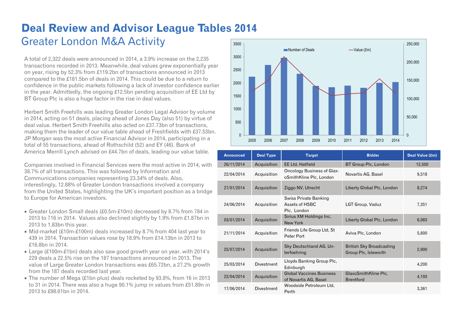#### **Deal Review and Advisor League Tables 2014**  Greater London M&A Activity 3500

A total of 2,322 deals were announced in 2014, a 3.9% increase on the 2,235 transactions recorded in 2013. Meanwhile, deal values grew exponentially year on year, rising by 52.3% from £119.2bn of transactions announced in 2013 compared to the £181.5bn of deals in 2014. This could be due to a return to confidence in the public markets following a lack of investor confidence earlier in the year. Admittedly, the ongoing £12.5bn pending acquisition of EE Ltd by BT Group Plc is also a huge factor in the rise in deal values.

Herbert Smith Freehills was leading Greater London Legal Advisor by volume in 2014, acting on 51 deals, placing ahead of Jones Day (also 51) by virtue of deal value. Herbert Smith Freehills also acted on £37.73bn of transactions, making them the leader of our value table ahead of Freshfields with £37.53bn. JP Morgan was the most active Financial Advisor in 2014, participating in a total of 55 transactions, ahead of Rothschild (52) and EY (46). Bank of America Merrill Lynch advised on £44.7bn of deals, leading our value table.

Companies involved in Financial Services were the most active in 2014, with 38.7% of all transactions. This was followed by Information and Communications companies representing 23.34% of deals. Also, interestingly, 12.88% of Greater London transactions involved a company from the United States, highlighting the UK's important position as a bridge to Europe for American investors.

- Greater London Small deals (£0.5m-£10m) decreased by 8.7% from 784 in 2013 to 716 in 2014. Values also declined slightly by 1.9% from £1.87bn in 2013 to 1.83bn this year.
- Mid-market (£10m-£100m) deals increased by 8.7% from 404 last year to 439 in 2014. Transaction values rose by 18.9% from £14.13bn in 2013 to £16.8bn in 2014.
- Large (£100m-£1bn) deals also saw good growth year on year, with 2014's 229 deals a 22.5% rise on the 187 transactions announced in 2013. The value of Large Greater London transactions was £65.72bn, a 27.2% growth from the 187 deals recorded last year.
- The number of Mega (£1bn plus) deals rocketed by 93.8%, from 16 in 2013 to 31 in 2014. There was also a huge 90.1% jump in values from £51.89n in 2013 to £98.61bn in 2014.



| <b>Announced</b> | <b>Deal Type</b>  | <b>Target</b>                                            | <b>Bidder</b>                                           | Deal Value (£m) |
|------------------|-------------------|----------------------------------------------------------|---------------------------------------------------------|-----------------|
| 26/11/2014       | Acquisition       | <b>EE Ltd, Hatfield</b>                                  | BT Group Plc, London                                    | 12,500          |
| 22/04/2014       | Acquisition       | Oncology Business of Glax-<br>oSmithKline Plc, London    | Novartis AG, Basel                                      | 9,518           |
| 27/01/2014       | Acquisition       | Ziggo NV, Utrecht                                        | Liberty Global Plc, London                              | 8,274           |
| 24/06/2014       | Acquisition       | Swiss Private Banking<br>Assets of HSBC<br>Plc, London   | LGT Group, Vaduz                                        | 7,351           |
| 03/01/2014       | Acquisition       | Sirius XM Holdings Inc,<br>New York                      | Liberty Global Plc, London                              | 6,083           |
| 21/11/2014       | Acquisition       | Friends Life Group Ltd, St<br>Peter Port                 | Aviva Plc, London                                       | 5,600           |
| 25/07/2014       | Acquisition       | Sky Deutschland AG, Un-<br>terfoehring                   | <b>British Sky Broadcasting</b><br>Group Plc, Isleworth | 2,900           |
| 25/03/2014       | <b>Divestment</b> | Lloyds Banking Group Plc,<br>Edinburgh                   |                                                         | 4,200           |
| 22/04/2014       | Acquisition       | <b>Global Vaccines Business</b><br>of Novartis AG, Basel | GlaxoSmithKline Plc,<br><b>Brentford</b>                | 4,193           |
| 17/06/2014       | <b>Divestment</b> | Woodside Petroleum Ltd.<br>Perth                         |                                                         | 3,361           |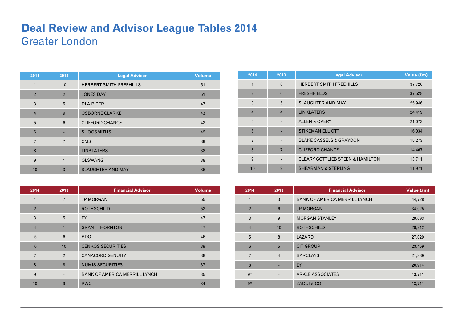### **Deal Review and Advisor League Tables 2014**  Greater London

| 2014            | 2013            | <b>Legal Advisor</b>           | <b>Volume</b> |
|-----------------|-----------------|--------------------------------|---------------|
| 1               | 10              | <b>HERBERT SMITH FREEHILLS</b> | 51            |
| $\overline{2}$  | $\overline{2}$  | <b>JONES DAY</b>               | 51            |
| 3               | 5               | <b>DLA PIPER</b>               | 47            |
| $\overline{4}$  | 9               | <b>OSBORNE CLARKE</b>          | 43            |
| 5               | $6\phantom{1}6$ | <b>CLIFFORD CHANCE</b>         | 42            |
| $6\phantom{1}6$ |                 | <b>SHOOSMITHS</b>              | 42            |
| $\overline{7}$  | $\overline{7}$  | <b>CMS</b>                     | 39            |
| 8               |                 | <b>LINKLATERS</b>              | 38            |
| 9               | $\mathbf{1}$    | <b>OLSWANG</b>                 | 38            |
| 10              | 3               | <b>SLAUGHTER AND MAY</b>       | 36            |

| 2014           | 2013           | <b>Financial Advisor</b>             | <b>Volume</b> |
|----------------|----------------|--------------------------------------|---------------|
| 1              | $\overline{7}$ | <b>JP MORGAN</b>                     | 55            |
| $\overline{2}$ |                | <b>ROTHSCHILD</b>                    | 52            |
| 3              | 5              | EY                                   | 47            |
| $\overline{4}$ | $\mathbf{1}$   | <b>GRANT THORNTON</b>                | 47            |
| 5              | 6              | <b>BDO</b>                           | 46            |
| $6\phantom{1}$ | 10             | <b>CENKOS SECURITIES</b>             | 39            |
| $\overline{7}$ | 2              | <b>CANACORD GENUITY</b>              | 38            |
| 8              | 8              | <b>NUMIS SECURITIES</b>              | 37            |
| 9              |                | <b>BANK OF AMERICA MERRILL LYNCH</b> | 35            |
| 10             | 9              | <b>PWC</b>                           | 34            |

| 2014           | 2013            | <b>Legal Advisor</b>                        | Value (£m) |
|----------------|-----------------|---------------------------------------------|------------|
| 1              | 8               | <b>HERBERT SMITH FREEHILLS</b>              | 37,726     |
| $\overline{2}$ | $6\phantom{1}6$ | <b>FRESHFIELDS</b>                          | 37,528     |
| 3              | 5               | <b>SLAUGHTER AND MAY</b>                    | 25,946     |
| $\overline{4}$ | $\overline{4}$  | <b>LINKLATERS</b>                           | 24,419     |
| 5              |                 | <b>ALLEN &amp; OVERY</b>                    | 21,073     |
| 6              |                 | <b>STIKEMAN ELLIOTT</b>                     | 16,034     |
| $\overline{7}$ |                 | <b>BLAKE CASSELS &amp; GRAYDON</b>          | 15,273     |
| 8              | $\overline{7}$  | <b>CLIFFORD CHANCE</b>                      | 14,467     |
| 9              | $\overline{a}$  | <b>CLEARY GOTTLIEB STEEN &amp; HAMILTON</b> | 13,711     |
| 10             | $\overline{2}$  | <b>SHEARMAN &amp; STERLING</b>              | 11,971     |

| 2014           | 2013                     | <b>Financial Advisor</b>             | Value (£m) |
|----------------|--------------------------|--------------------------------------|------------|
| $\mathbf{1}$   | 3                        | <b>BANK OF AMERICA MERRILL LYNCH</b> | 44,728     |
| $\overline{2}$ | $6\phantom{1}$           | <b>JP MORGAN</b>                     | 34,025     |
| 3              | 9                        | <b>MORGAN STANLEY</b>                | 29,093     |
| $\overline{4}$ | 10                       | <b>ROTHSCHILD</b>                    | 28,212     |
| 5              | 8                        | LAZARD                               | 27,029     |
| 6              | 5                        | <b>CITIGROUP</b>                     | 23,459     |
| $\overline{7}$ | $\overline{4}$           | <b>BARCLAYS</b>                      | 21,989     |
| 8              | ٠                        | EY                                   | 20,914     |
| $q*$           | $\overline{\phantom{a}}$ | <b>ARKLE ASSOCIATES</b>              | 13,711     |
| $9*$           |                          | ZAOUI & CO                           | 13,711     |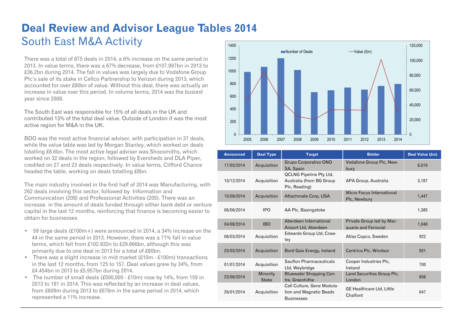#### **Deal Review and Advisor League Tables 2014**  South East M&A Activity 1400

There was a total of 875 deals in 2014, a 6% increase on the same period in 2013. In value terms, there was a 67% decrease, from £107.997bn in 2013 to £36.2bn during 2014. The fall in values was largely due to Vodafone Group Plc's sale of its stake in Cellco Partnership to Verizon during 2013, which accounted for over £80bn of value. Without this deal, there was actually an increase in value over this period. In volume terms, 2014 was the busiest year since 2008.

The South East was responsible for 15% of all deals in the UK and contributed 13% of the total deal value. Outside of London it was the most active region for M&A in the UK.

BDO was the most active financial advisor, with participation in 37 deals, while the value table was led by Morgan Stanley, which worked on deals totalling £8.6bn. The most active legal adviser was Shoosmiths, which worked on 32 deals in the region, followed by Eversheds and DLA Piper, credited on 27 and 23 deals respectively. In value terms, Clifford Chance headed the table, working on deals totalling £8bn.

The main industry involved in the first half of 2014 was Manufacturing, with 262 deals involving this sector, followed by Information and Communication (208) and Professional Activities (205). There was an increase in the amount of deals funded through either bank debt or venture capital in the last 12 months, reinforcing that finance is becoming easier to obtain for businesses

- 59 large deals (£100m+) were announced in 2014, a 34% increase on the 44 in the same period in 2013. However, there was a 71% fall in value terms, which fell from £102.932n to £29.666bn, although this was primarily due to one deal in 2013 for a total of £80bn.
- There was a slight increase in mid market (£10m £100m) transactions in the last 12 months, from 125 to 157. Deal values grew by 34%, from £4.454bn in 2013 to £5.957bn during 2014.
- The number of small deals (£500,000 £10m) rose by 14%, from 159 in 2013 to 181 in 2014. This was reflected by an increase in deal values, from £609m during 2013 to £676m in the same period in 2014, which represented a 11% increase.



| <b>Announced</b> | <b>Deal Type</b>         | <b>Target</b>                                                               | <b>Bidder</b>                                     | Deal Value (£m) |
|------------------|--------------------------|-----------------------------------------------------------------------------|---------------------------------------------------|-----------------|
| 17/03/2014       | Acquisition              | Grupo Corporativo ONO<br>SA, Spain                                          | Vodafone Group Plc, New-<br>bury                  | 6.019           |
| 10/12/2014       | Acquisition              | <b>QCLNG Pipeline Pty Ltd,</b><br>Australia (from BG Group<br>Plc, Reading) | APA Group, Australia                              | 3,187           |
| 15/09/2014       | Acquisition              | Attachmate Corp, USA                                                        | Micro Focus International<br>Plc, Newbury         | 1,447           |
| 06/06/2014       | IPO                      | AA Plc, Basingstoke                                                         |                                                   | 1,385           |
| 04/08/2014       | <b>IBO</b>               | Aberdeen International<br>Airport Ltd, Aberdeen                             | Private Group led by Mac-<br>quarie and Ferrovial | 1,048           |
| 06/03/2014       | Acquisition              | Edwards Group Ltd, Craw-<br>ley                                             | Atlas Copco, Sweden                               | 922             |
| 25/03/2014       | Acquisition              | Bord Gais Energy, Ireland                                                   | Centrica Plc, Windsor                             | 921             |
| 01/07/2014       | Acquisition              | Sauflon Pharmaceuticals<br>Ltd, Weybridge                                   | Cooper Industries Plc,<br>Ireland                 | 700             |
| 25/06/2014       | Minority<br><b>Stake</b> | <b>Bluewater Shopping Cen-</b><br>tre, Greenhithe                           | Land Securities Group Plc,<br>London              | 656             |
| 26/01/2014       | Acquisition              | Cell Culture, Gene Modula-<br>tion and Magnetic Beads<br><b>Businesses</b>  | <b>GE Healthcare Ltd, Little</b><br>Chalfont      | 647             |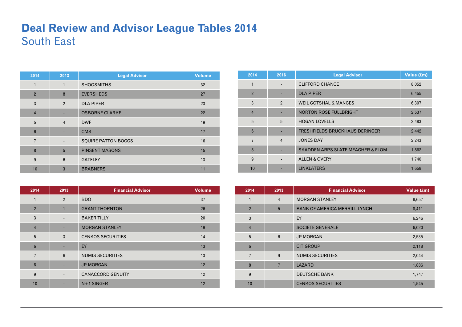### **Deal Review and Advisor League Tables 2014**  South East

| 2014            | 2013            | <b>Legal Advisor</b>       | <b>Volume</b> |
|-----------------|-----------------|----------------------------|---------------|
| 1               | $\mathbf{1}$    | <b>SHOOSMITHS</b>          | 32            |
| $\overline{2}$  | 8               | <b>EVERSHEDS</b>           | 27            |
| 3               | $\overline{2}$  | <b>DLA PIPER</b>           | 23            |
| $\overline{4}$  |                 | <b>OSBORNE CLARKE</b>      | 22            |
| 5               | $\overline{4}$  | <b>DWF</b>                 | 19            |
| $6\phantom{1}6$ |                 | <b>CMS</b>                 | 17            |
| $\overline{7}$  | ٠               | <b>SQUIRE PATTON BOGGS</b> | 16            |
| 8               | 5               | <b>PINSENT MASONS</b>      | 15            |
| 9               | $6\phantom{1}6$ | <b>GATELEY</b>             | 13            |
| 10              | $\overline{3}$  | <b>BRABNERS</b>            | 11            |

| 2014            | 2013                     | <b>Financial Advisor</b> | <b>Volume</b> |
|-----------------|--------------------------|--------------------------|---------------|
| $\mathbf{1}$    | $\overline{2}$           | <b>BDO</b>               | 37            |
| $\overline{2}$  | $\mathbf{1}$             | <b>GRANT THORNTON</b>    | 26            |
| 3               | $\overline{\phantom{a}}$ | <b>BAKER TILLY</b>       | 20            |
| $\overline{4}$  |                          | <b>MORGAN STANLEY</b>    | 19            |
| 5               | 3                        | <b>CENKOS SECURITIES</b> | 14            |
| $6\phantom{1}6$ | ٠                        | EY                       | 13            |
| $\overline{7}$  | 6                        | <b>NUMIS SECURITIES</b>  | 13            |
| 8               |                          | <b>JP MORGAN</b>         | 12            |
| 9               |                          | <b>CANACCORD GENUITY</b> | 12            |
| 10              |                          | $N+1$ SINGER             | 12            |

| 2014           | 2016           | <b>Legal Advisor</b>                         | Value (£m) |
|----------------|----------------|----------------------------------------------|------------|
| 1              |                | <b>CLIFFORD CHANCE</b>                       | 8,052      |
| $\overline{2}$ |                | <b>DLA PIPER</b>                             | 6,455      |
| 3              | $\mathcal{P}$  | <b>WEIL GOTSHAL &amp; MANGES</b>             | 6,307      |
| $\overline{4}$ |                | <b>NORTON ROSE FULLBRIGHT</b>                | 2,537      |
| 5              | 5              | <b>HOGAN LOVELLS</b>                         | 2,483      |
| 6              |                | <b>FRESHFIELDS BRUCKHAUS DERINGER</b>        | 2,442      |
| $\overline{7}$ | $\overline{4}$ | <b>JONES DAY</b>                             | 2,243      |
| 8              |                | <b>SKADDEN ARPS SLATE MEAGHER &amp; FLOM</b> | 1,862      |
| 9              |                | <b>ALLEN &amp; OVERY</b>                     | 1,740      |
| 10             |                | <b>LINKLATERS</b>                            | 1,658      |

| 2014            | 2013           | <b>Financial Advisor</b>             | Value (£m) |
|-----------------|----------------|--------------------------------------|------------|
| 1               | $\overline{4}$ | <b>MORGAN STANLEY</b>                | 8,657      |
| $\overline{2}$  | 5              | <b>BANK OF AMERICA MERRILL LYNCH</b> | 8,411      |
| 3               |                | EY                                   | 6,246      |
| $\overline{4}$  |                | <b>SOCIETE GENERALE</b>              | 6,020      |
| 5               | $6\phantom{1}$ | <b>JP MORGAN</b>                     | 2,535      |
| $6\phantom{1}6$ |                | <b>CITIGROUP</b>                     | 2,118      |
| $\overline{7}$  | 9              | <b>NUMIS SECURITIES</b>              | 2,044      |
| 8               | $\overline{7}$ | LAZARD                               | 1,886      |
| 9               |                | <b>DEUTSCHE BANK</b>                 | 1,747      |
| 10              |                | <b>CENKOS SECURITIES</b>             | 1,545      |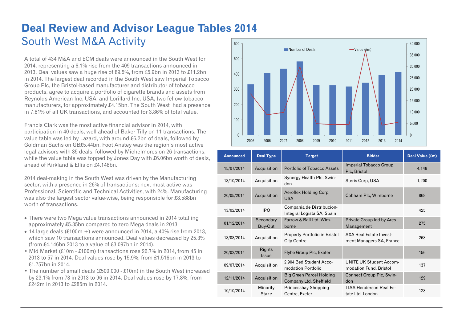#### **Deal Review and Advisor League Tables 2014**  South West M&A Activity 600

A total of 434 M&A and ECM deals were announced in the South West for 2014, representing a 6.1% rise from the 409 transactions announced in 2013. Deal values saw a huge rise of 89.5%, from £5.9bn in 2013 to £11.2bn in 2014. The largest deal recorded in the South West saw Imperial Tobacco Group Plc, the Bristol-based manufacturer and distributor of tobacco products, agree to acquire a portfolio of cigarette brands and assets from Reynolds American Inc, USA, and Lorillard Inc, USA, two fellow tobacco manufacturers, for approximately £4.15bn. The South West had a presence in 7.81% of all UK transactions, and accounted for 3.86% of total value.

Francis Clark was the most active financial advisor in 2014, with participation in 40 deals, well ahead of Baker Tilly on 11 transactions. The value table was led by Lazard, with around £6.2bn of deals, followed by Goldman Sachs on GB£5.44bn. Foot Anstey was the region's most active legal advisors with 35 deals, followed by Michelmores on 26 transactions, while the value table was topped by Jones Day with £6.06bn worth of deals, ahead of Kirkland & Ellis on £4.148bn.

2014 deal-making in the South West was driven by the Manufacturing sector, with a presence in 26% of transactions; next most active was Professional, Scientific and Technical Activities, with 24%. Manufacturing was also the largest sector value-wise, being responsible for £8.588bn worth of transactions.

- There were two Mega value transactions announced in 2014 totalling approximately £5.35bn compared to zero Mega deals in 2013.
- $\bullet$  14 large deals (£100m +) were announced in 2014, a 40% rise from 2013, which saw 10 transactions announced. Deal values decreased by 25.3% (from £4.146bn 2013 to a value of £3.097bn in 2014).
- Mid Market (£10m £100m) transactions rose 26.7% in 2014, from 45 in 2013 to 57 in 2014. Deal values rose by 15.9%, from £1.516bn in 2013 to £1.757bn in 2014.
- The number of small deals (£500,000 £10m) in the South West increased by 23.1% from 78 in 2013 to 96 in 2014. Deal values rose by 17.8%, from £242m in 2013 to £285m in 2014.



| <b>Announced</b> | <b>Deal Type</b>         | <b>Target</b>                                             | <b>Bidder</b>                                            | Deal Value (£m) |
|------------------|--------------------------|-----------------------------------------------------------|----------------------------------------------------------|-----------------|
| 15/07/2014       | Acquisition              | Portfolio of Tobacco Assets                               | <b>Imperial Tobacco Group</b><br>Plc, Bristol            | 4,148           |
| 13/10/2014       | Acquisition              | Synergy Health Plc, Swin-<br>don                          | Steris Corp, USA                                         | 1,200           |
| 20/05/2014       | Acquisition              | Aeroflex Holding Corp,<br><b>USA</b>                      | Cobham Plc, Wimborne                                     | 868             |
| 13/02/2014       | <b>IPO</b>               | Compania de Distribucion-<br>Integral Logista SA, Spain   |                                                          | 425             |
| 01/12/2014       | Secondary<br>Buy-Out     | Farrow & Ball Ltd, Wim-<br>borne                          | Private Group led by Ares<br>Management                  | 275             |
| 13/08/2014       | Acquisition              | Property Portfolio in Bristol<br>City Centre              | AXA Real Estate Invest-<br>ment Managers SA, France      | 268             |
| 20/02/2014       | Rights<br><b>Issue</b>   | Flybe Group Plc, Exeter                                   |                                                          | 156             |
| 09/07/2014       | Acquisition              | 2,904 Bed Student Acco-<br>modation Portfolio             | <b>UNITE UK Student Accom-</b><br>modation Fund, Bristol | 137             |
| 12/11/2014       | Acquisition              | <b>Big Green Parcel Holding</b><br>Company Ltd, Sheffield | Connect Group Plc, Swin-<br>don                          | 129             |
| 10/10/2014       | Minority<br><b>Stake</b> | Princesshay Shopping<br>Centre, Exeter                    | <b>TIAA Henderson Real Es-</b><br>tate Ltd, London       | 128             |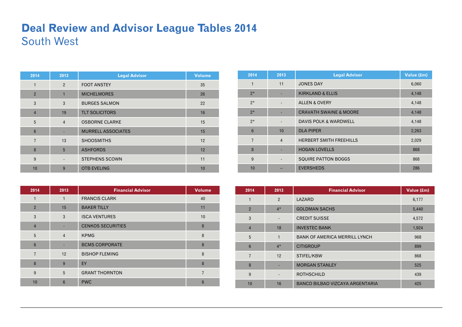### **Deal Review and Advisor League Tables 2014**  South West

| 2014            | 2013           | <b>Legal Advisor</b>      | <b>Volume</b> |
|-----------------|----------------|---------------------------|---------------|
| 1               | $\overline{2}$ | <b>FOOT ANSTEY</b>        | 35            |
| $\overline{2}$  | $\mathbf{1}$   | <b>MICHELMORES</b>        | 26            |
| 3               | 3              | <b>BURGES SALMON</b>      | 22            |
| $\overline{4}$  | 19             | <b>TLT SOLICITORS</b>     | 16            |
| 5               | $\overline{4}$ | <b>OSBORNE CLARKE</b>     | 15            |
| $6\phantom{1}6$ |                | <b>MURRELL ASSOCIATES</b> | 15            |
| $\overline{7}$  | 13             | <b>SHOOSMITHS</b>         | 12            |
| 8               | 5              | <b>ASHFORDS</b>           | 12            |
| 9               |                | <b>STEPHENS SCOWN</b>     | 11            |
| 10              | 9              | <b>OTB EVELING</b>        | 10            |

| 2014           | 2013           | <b>Financial Advisor</b> | <b>Volume</b> |
|----------------|----------------|--------------------------|---------------|
| 1              | 1              | <b>FRANCIS CLARK</b>     | 40            |
| $\overline{2}$ | 15             | <b>BAKER TILLY</b>       | 11            |
| 3              | 3              | <b>ISCA VENTURES</b>     | 10            |
| $\overline{4}$ |                | <b>CENKOS SECURITIES</b> | 8             |
| 5              | $\overline{4}$ | <b>KPMG</b>              | 8             |
| $6\phantom{1}$ |                | <b>BCMS CORPORATE</b>    | 8             |
| $\overline{7}$ | 12             | <b>BISHOP FLEMING</b>    | 8             |
| 8              | 9              | EY                       | 8             |
| 9              | 5              | <b>GRANT THORNTON</b>    | 7             |
| 10             | 6              | <b>PWC</b>               | 6             |

| 2014            | 2013                     | <b>Legal Advisor</b>              | Value (£m) |
|-----------------|--------------------------|-----------------------------------|------------|
| $\mathbf{1}$    | 11                       | <b>JONES DAY</b>                  | 6,060      |
| $2*$            |                          | <b>KIRKLAND &amp; ELLIS</b>       | 4,148      |
| $2*$            |                          | <b>ALLEN &amp; OVERY</b>          | 4,148      |
| $2*$            |                          | <b>CRAVATH SWAINE &amp; MOORE</b> | 4,148      |
| $2*$            |                          | DAVIS POLK & WARDWELL             | 4,148      |
| $6\phantom{1}$  | 10                       | <b>DLA PIPER</b>                  | 2,263      |
| $\overline{7}$  | $\overline{4}$           | <b>HERBERT SMITH FREEHILLS</b>    | 2,029      |
| 8               |                          | <b>HOGAN LOVELLS</b>              | 868        |
| 9               | $\overline{\phantom{a}}$ | <b>SQUIRE PATTON BOGGS</b>        | 868        |
| 10 <sup>1</sup> | --                       | <b>EVERSHEDS</b>                  | 286        |

| 2014           | 2013                     | <b>Financial Advisor</b>             | Value (£m) |
|----------------|--------------------------|--------------------------------------|------------|
| 1              | 2                        | LAZARD                               | 6,177      |
| $\overline{2}$ | $4*$                     | <b>GOLDMAN SACHS</b>                 | 5,440      |
| 3              | $\overline{\phantom{a}}$ | <b>CREDIT SUISSE</b>                 | 4,572      |
| $\overline{4}$ | 18                       | <b>INVESTEC BANK</b>                 | 1,924      |
| 5              | $\mathbf{1}$             | <b>BANK OF AMERICA MERRILL LYNCH</b> | 968        |
| $6\phantom{1}$ | $4*$                     | <b>CITIGROUP</b>                     | 899        |
| $\overline{7}$ | 12                       | STIFEL/KBW                           | 868        |
| 8              |                          | <b>MORGAN STANLEY</b>                | 525        |
| 9              | ٠                        | <b>ROTHSCHILD</b>                    | 439        |
| 10             | 16                       | BANCO BILBAO VIZCAYA ARGENTARIA      | 425        |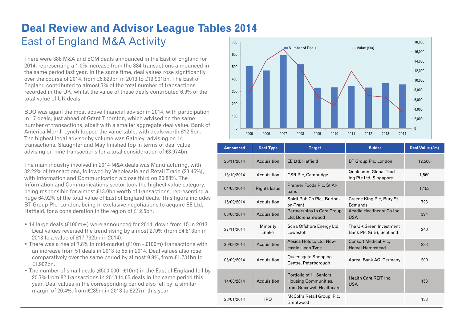#### **Deal Review and Advisor League Tables 2014**  East of England M&A Activity  $700 -$

There were 388 M&A and ECM deals announced in the East of England for 2014, representing a 1.0% increase from the 384 transactions announced in the same period last year. In the same time, deal values rose significantly over the course of 2014, from £6.829bn in 2013 to £19.901bn. The East of England contributed to almost 7% of the total number of transactions recorded in the UK, whilst the value of these deals contributed 6.9% of the total value of UK deals.

BDO was again the most active financial advisor in 2014, with participation in 17 deals, just ahead of Grant Thornton, which advised on the same number of transactions, albeit with a smaller aggregate deal value. Bank of America Merrill Lynch topped the value table, with deals worth £12.5bn. The highest legal advisor by volume was Gateley, advising on 14 transactions. Slaughter and May finished top in terms of deal value, advising on nine transactions for a total consideration of £3.974bn.

The main industry involved in 2014 M&A deals was Manufacturing, with 32.22% of transactions, followed by Wholesale and Retail Trade (23.45%), with Information and Communication a close third on 20.88%. The Information and Communications sector took the highest value category, being responsible for almost £13.0bn worth of transactions, representing a huge 64.92% of the total value of East of England deals. This figure includes BT Group Plc, London, being in exclusive negotiations to acquire EE Ltd, Hatfield, for a consideration in the region of £12.5bn.

- 14 large deals (£100m+) were announced for 2014, down from 15 in 2013. Deal values reversed the trend rising by almost 270% (from £4.813bn in 2013 to a value of £17.792bn in 2014).
- There was a rise of 7.8% in mid-market (£10m £100m) transactions with an increase from 51 deals in 2013 to 55 in 2014. Deal values also rose comparatively over the same period by almost 9.9%, from £1.731bn to £1.902bn.
- The number of small deals (£500,000 £10m) in the East of England fell by 20.7% from 82 transactions in 2013 to 65 deals in the same period this year. Deal values in the corresponding period also fell by a similar margin of 20.4%, from £285m in 2013 to £227m this year.



| <b>Announced</b> | <b>Deal Type</b>    | <b>Target</b>                                                                       | <b>Bidder</b>                                          | Deal Value (£m) |
|------------------|---------------------|-------------------------------------------------------------------------------------|--------------------------------------------------------|-----------------|
| 26/11/2014       | Acquisition         | <b>EE Ltd, Hatfield</b>                                                             | BT Group Plc, London                                   | 12,500          |
| 15/10/2014       | Acquisition         | <b>CSR Plc, Cambridge</b>                                                           | <b>Qualcomm Global Trad-</b><br>ing Pte Ltd, Singapore | 1,560           |
| 04/03/2014       | <b>Rights Issue</b> | Premier Foods Plc, St Al-<br>bans                                                   |                                                        | 1,153           |
| 15/09/2014       | Acquisition         | Spirit Pub Co Plc, Burton-<br>on-Trent                                              | Greene King Plc, Bury St<br>Edmunds                    | 723             |
| 03/06/2014       | Acquisition         | Partnerships In Care Group<br>Ltd, Borehamwood                                      | Acadia Healthcare Co Inc.<br><b>USA</b>                | 394             |
| 27/11/2014       | Minority<br>Stake   | Scira Offshore Energy Ltd,<br>Lowestoft                                             | The UK Green Investment<br>Bank Plc (GIB), Scotland    | 240             |
| 30/09/2014       | Acquisition         | Aesica Holdco Ltd, New-<br>castle Upon Tyne                                         | <b>Consort Medical Plc.</b><br><b>Hemel Hempstead</b>  | 233             |
| 03/09/2014       | Acquisition         | Queensgate Shopping<br>Centre, Peterborough                                         | Aareal Bank AG, Germany                                | 200             |
| 14/08/2014       | Acquisition         | Portfolio of 11 Seniors<br><b>Housing Communities,</b><br>from Gracewell Healthcare | Health Care REIT Inc.<br><b>USA</b>                    | 153             |
| 28/01/2014       | <b>IPO</b>          | McColl's Retail Group Plc,<br>Brentwood                                             |                                                        | 133             |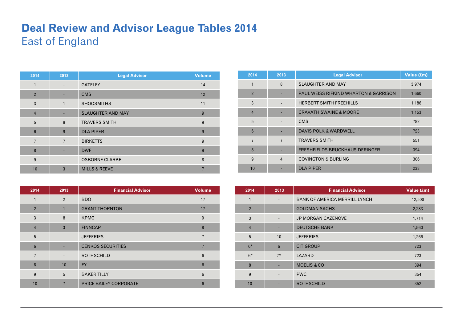### **Deal Review and Advisor League Tables 2014**  East of England

| 2014           | 2013                     | <b>Legal Advisor</b>     | <b>Volume</b> |
|----------------|--------------------------|--------------------------|---------------|
| 1              | $\overline{\phantom{a}}$ | <b>GATELEY</b>           | 14            |
| $\overline{2}$ |                          | <b>CMS</b>               | 12            |
| 3              | $\mathbf{1}$             | <b>SHOOSMITHS</b>        | 11            |
| $\overline{4}$ |                          | <b>SLAUGHTER AND MAY</b> | 9             |
| 5              | 8                        | <b>TRAVERS SMITH</b>     | 9             |
| $6\phantom{1}$ | 9                        | <b>DLA PIPER</b>         | 9             |
| $\overline{7}$ | $\overline{7}$           | <b>BIRKETTS</b>          | 9             |
| 8              |                          | <b>DWF</b>               | 9             |
| 9              | $\overline{\phantom{a}}$ | <b>OSBORNE CLARKE</b>    | 8             |
| 10             | 3                        | <b>MILLS &amp; REEVE</b> |               |

| 2014           | 2013           | <b>Financial Advisor</b> | <b>Volume</b> |
|----------------|----------------|--------------------------|---------------|
| 1              | $\overline{2}$ | <b>BDO</b>               | 17            |
| $\overline{2}$ | $\mathbf{1}$   | <b>GRANT THORNTON</b>    | 17            |
| 3              | 8              | <b>KPMG</b>              | 9             |
| $\overline{4}$ | $\mathbf{3}$   | <b>FINNCAP</b>           | 8             |
| 5              |                | <b>JEFFERIES</b>         | 7             |
| $6\phantom{1}$ |                | <b>CENKOS SECURITIES</b> |               |
| $\overline{7}$ |                | <b>ROTHSCHILD</b>        | 6             |
| 8              | 10             | EY                       | 6             |
| 9              | 5              | <b>BAKER TILLY</b>       | 6             |
| 10             | 7              | PRICE BAILEY CORPORATE   | 6             |

| 2014           | 2013           | <b>Legal Advisor</b>                             | Value (£m) |
|----------------|----------------|--------------------------------------------------|------------|
|                | 8              | <b>SLAUGHTER AND MAY</b>                         | 3,974      |
| $\overline{2}$ |                | <b>PAUL WEISS RIFKIND WHARTON &amp; GARRISON</b> | 1,660      |
| 3              |                | <b>HERBERT SMITH FREEHILLS</b>                   | 1,186      |
| $\overline{4}$ |                | <b>CRAVATH SWAINE &amp; MOORE</b>                | 1,153      |
| 5              |                | <b>CMS</b>                                       | 782        |
| 6              |                | <b>DAVIS POLK &amp; WARDWELL</b>                 | 723        |
| $\overline{7}$ | $\overline{7}$ | <b>TRAVERS SMITH</b>                             | 551        |
| 8              |                | <b>FRESHFIELDS BRUCKHAUS DERINGER</b>            | 394        |
| 9              | $\overline{4}$ | <b>COVINGTON &amp; BURLING</b>                   | 306        |
| 10             |                | <b>DLA PIPER</b>                                 | 233        |

| 2014           | 2013                     | <b>Financial Advisor</b>             | Value (£m) |
|----------------|--------------------------|--------------------------------------|------------|
| 1              |                          | <b>BANK OF AMERICA MERRILL LYNCH</b> | 12,500     |
| $\overline{2}$ | ٠                        | <b>GOLDMAN SACHS</b>                 | 2,283      |
| 3              | $\overline{\phantom{a}}$ | <b>JP MORGAN CAZENOVE</b>            | 1,714      |
| $\overline{4}$ |                          | <b>DEUTSCHE BANK</b>                 | 1,560      |
| 5              | 10                       | <b>JEFFERIES</b>                     | 1,266      |
| $6*$           | $6\phantom{1}$           | <b>CITIGROUP</b>                     | 723        |
| $6*$           | $7*$                     | LAZARD                               | 723        |
| 8              |                          | <b>MOELIS &amp; CO</b>               | 394        |
| 9              | $\overline{\phantom{a}}$ | <b>PWC</b>                           | 354        |
| 10             |                          | <b>ROTHSCHILD</b>                    | 352        |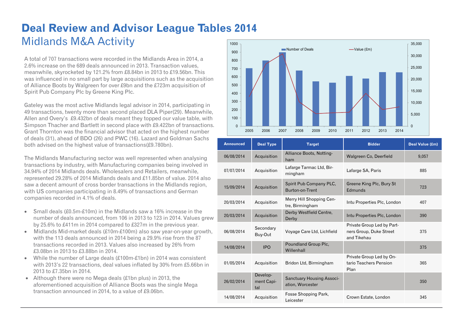#### **Deal Review and Advisor League Tables 2014**  Midlands M&A Activity 1000

A total of 707 transactions were recorded in the Midlands Area in 2014, a 2.6% increase on the 689 deals announced in 2013. Transaction values, meanwhile, skyrocketed by 121.2% from £8.84bn in 2013 to £19.56bn. This was influenced in no small part by large acquisitions such as the acquisition of Alliance Boots by Walgreen for over £9bn and the £723m acquisition of Spirit Pub Company Plc by Greene King Plc.

Gateley was the most active Midlands legal advisor in 2014, participating in 49 transactions, twenty more than second placed DLA Piper(29). Meanwhile, Allen and Overy's £9.432bn of deals meant they topped our value table, with Simpson Thacher and Bartlett in second place with £9.422bn of transactions. Grant Thornton was the financial advisor that acted on the highest number of deals (31), ahead of BDO (26) and PWC (16). Lazard and Goldman Sachs both advised on the highest value of transactions(£9.780bn).

The Midlands Manufacturing sector was well represented when analysing transactions by industry, with Manufacturing companies being involved in 34.94% of 2014 Midlands deals. Wholesalers and Retailers, meanwhile, represented 29.28% of 2014 Midlands deals and £11.85bn of value. 2014 also saw a decent amount of cross border transactions in the Midlands region, with US companies participating in 8.49% of transactions and German companies recorded in 4.1% of deals.

- Small deals  $£0.5m£10m)$  in the Midlands saw a 16% increase in the number of deals announced, from 106 in 2013 to 123 in 2014. Values grew by 25.6% to £411m in 2014 compared to £327m in the previous year.
- $\bullet$  Midlands Mid-market deals (£10m-£100m) also saw year-on-year growth, with the 113 deals announced in 2014 being a 29.9% rise from the 87 transactions recorded in 2013. Values also increased by 26% from £3.08bn in 2013 to £3.88bn in 2014.
- While the number of Large deals (£100m-£1bn) in 2014 was consistent with 2013's 22 transactions, deal values inflated by 30% from £5.66bn in 2013 to £7.35bn in 2014.
- Although there were no Mega deals (£1bn plus) in 2013, the aforementioned acquisition of Alliance Boots was the single Mega transaction announced in 2014, to a value of £9.06bn.



| <b>Announced</b> | <b>Deal Type</b>              | <b>Target</b>                                 | <b>Bidder</b>                                                        | Deal Value (£m) |
|------------------|-------------------------------|-----------------------------------------------|----------------------------------------------------------------------|-----------------|
| 06/08/2014       | Acquisition                   | Alliance Boots, Notting-<br>ham               | Walgreen Co, Deerfield                                               | 9,057           |
| 07/07/2014       | Acquisition                   | Lafarge Tarmac Ltd, Bir-<br>mingham           | Lafarge SA, Paris                                                    | 885             |
| 15/09/2014       | Acquisition                   | Spirit Pub Company PLC,<br>Burton-on-Trent    | Greene King Plc, Bury St<br>Edmunds                                  | 723             |
| 20/03/2014       | Acquisition                   | Merry Hill Shopping Cen-<br>tre, Birmingham   | Intu Properties Plc, London                                          | 407             |
| 20/03/2014       | Acquisition                   | Derby Westfield Centre,<br>Derby              | Intu Properties Plc, London                                          | 390             |
| 06/08/2014       | Secondary<br>Buy-Out          | Voyage Care Ltd, Lichfield                    | Private Group Led by Part-<br>ners Group, Duke Street<br>and Tikehau | 375             |
| 14/08/2014       | <b>IPO</b>                    | Poundland Group Plc,<br>Willenhall            |                                                                      | 375             |
| 01/05/2014       | Acquisition                   | Bridon Ltd, Birmingham                        | Private Group Led by On-<br>tario Teachers Pension<br>Plan           | 365             |
| 26/02/2014       | Develop-<br>ment Capi-<br>tal | Sanctuary Housing Associ-<br>ation, Worcester |                                                                      | 350             |
| 14/08/2014       | Acquisition                   | Fosse Shopping Park,<br>Leicester             | Crown Estate, London                                                 | 345             |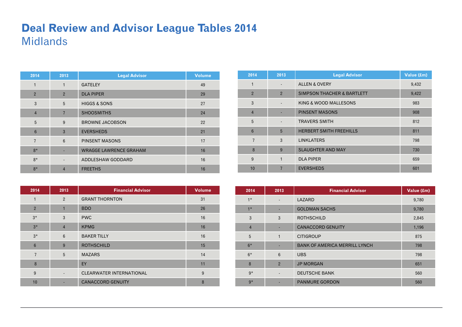### **Deal Review and Advisor League Tables 2014**  Midlands

| 2014           | 2013           | <b>Legal Advisor</b>          | <b>Volume</b> |
|----------------|----------------|-------------------------------|---------------|
| $\mathbf{1}$   | $\mathbf{1}$   | <b>GATELEY</b>                | 49            |
| $\overline{2}$ | $\overline{2}$ | <b>DLA PIPER</b>              | 29            |
| 3              | 5              | <b>HIGGS &amp; SONS</b>       | 27            |
| $\overline{4}$ | $\overline{7}$ | <b>SHOOSMITHS</b>             | 24            |
| 5              | 9              | <b>BROWNE JACOBSON</b>        | 22            |
| $6\phantom{1}$ | 3              | <b>EVERSHEDS</b>              | 21            |
| $\overline{7}$ | 6              | <b>PINSENT MASONS</b>         | 17            |
| $8*$           |                | <b>WRAGGE LAWRENCE GRAHAM</b> | 16            |
| $8*$           |                | ADDLESHAW GODDARD             | 16            |
| $8*$           | $\overline{4}$ | <b>FREETHS</b>                | 16            |

| 2014           | 2013           | <b>Financial Advisor</b>        | <b>Volume</b> |
|----------------|----------------|---------------------------------|---------------|
| 1              | $\overline{2}$ | <b>GRANT THORNTON</b>           | 31            |
| $\overline{2}$ | $\mathbf{1}$   | <b>BDO</b>                      | 26            |
| $3*$           | 3              | <b>PWC</b>                      | 16            |
| $3*$           | $\overline{4}$ | <b>KPMG</b>                     | 16            |
| $3*$           | 6              | <b>BAKER TILLY</b>              | 16            |
| $6\phantom{1}$ | 9              | <b>ROTHSCHILD</b>               | 15            |
| $\overline{7}$ | 5              | <b>MAZARS</b>                   | 14            |
| 8              |                | EY                              | 11            |
| 9              |                | <b>CLEARWATER INTERNATIONAL</b> | 9             |
| 10             |                | <b>CANACCORD GENUITY</b>        | 8             |

| 2014            | 2013           | <b>Legal Advisor</b>                  | Value (£m) |
|-----------------|----------------|---------------------------------------|------------|
| 1               |                | <b>ALLEN &amp; OVERY</b>              | 9,432      |
| $\overline{2}$  | $\overline{2}$ | <b>SIMPSON THACHER &amp; BARTLETT</b> | 9,422      |
| 3               |                | KING & WOOD MALLESONS                 | 983        |
| $\overline{4}$  |                | <b>PINSENT MASONS</b>                 | 908        |
| 5               |                | <b>TRAVERS SMITH</b>                  | 812        |
| $6\phantom{1}6$ | 5              | <b>HERBERT SMITH FREEHILLS</b>        | 811        |
| $\overline{7}$  | 3              | <b>LINKLATERS</b>                     | 798        |
| 8               | 9              | <b>SLAUGHTER AND MAY</b>              | 730        |
| 9               | 1              | <b>DLA PIPER</b>                      | 659        |
| 10              |                | <b>EVERSHEDS</b>                      | 601        |

| 2014           | 2013           | <b>Financial Advisor</b>             | Value (£m) |
|----------------|----------------|--------------------------------------|------------|
| $1*$           |                | LAZARD                               | 9,780      |
| $1*$           |                | <b>GOLDMAN SACHS</b>                 | 9,780      |
| 3              | 3              | <b>ROTHSCHILD</b>                    | 2,845      |
| $\overline{4}$ |                | <b>CANACCORD GENUITY</b>             | 1,196      |
| 5              | 1              | <b>CITIGROUP</b>                     | 875        |
| $6*$           |                | <b>BANK OF AMERICA MERRILL LYNCH</b> | 798        |
| $6*$           | 6              | <b>UBS</b>                           | 798        |
| 8              | $\overline{2}$ | <b>JP MORGAN</b>                     | 651        |
| $9*$           |                | <b>DEUTSCHE BANK</b>                 | 560        |
| $9*$           |                | <b>PANMURE GORDON</b>                | 560        |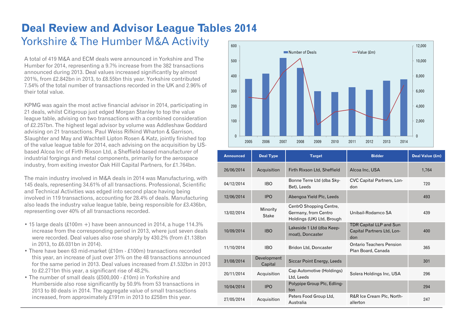### **Deal Review and Advisor League Tables 2014**  Yorkshire & The Humber M&A Activity

A total of 419 M&A and ECM deals were announced in Yorkshire and The Humber for 2014, representing a 9.7% increase from the 382 transactions announced during 2013. Deal values increased significantly by almost 201%, from £2.842bn in 2013, to £8.55bn this year. Yorkshire contributed 7.54% of the total number of transactions recorded in the UK and 2.96% of their total value.

KPMG was again the most active financial advisor in 2014, participating in 21 deals, whilst Citigroup just edged Morgan Stanley to top the value league table, advising on two transactions with a combined consideration of £2.257bn. The highest legal advisor by volume was Addleshaw Goddard advising on 21 transactions. Paul Weiss Rifkind Wharton & Garrison, Slaughter and May and Wachtell Lipton Rosen & Katz, jointly finished top of the value league table for 2014, each advising on the acquisition by USbased Alcoa Inc of Firth Rixson Ltd, a Sheffield-based manufacturer of industrial forgings and metal components, primarily for the aerospace industry, from exiting investor Oak Hill Capital Partners, for £1.764bn.

The main industry involved in M&A deals in 2014 was Manufacturing, with 145 deals, representing 34.61% of all transactions. Professional, Scientific and Technical Activities was edged into second place having being involved in 119 transactions, accounting for 28.4% of deals. Manufacturing also leads the industry value league table, being responsible for £3.436bn, representing over 40% of all transactions recorded.

- 15 large deals (£100m +) have been announced in 2014, a huge 114.3% increase from the corresponding period in 2013, where just seven deals were recorded. Deal values also rose sharply by 430.2% (from £1.138bn in 2013, to £6.031bn in 2014).
- There have been 63 mid-market (£10m £100m) transactions recorded this year, an increase of just over 31% on the 48 transactions announced for the same period in 2013. Deal values increased from £1.532bn in 2013 to £2.271bn this year, a significant rise of 48.2%.
- The number of small deals (£500,000 £10m) in Yorkshire and Humberside also rose significantly by 50.9% from 53 transactions in 2013 to 80 deals in 2014. The aggregate value of small transactions increased, from approximately £191m in 2013 to £258m this year.



| <b>Announced</b> | <b>Deal Type</b>       | <b>Target</b>                                                                | <b>Bidder</b>                                                       | Deal Value (£m) |
|------------------|------------------------|------------------------------------------------------------------------------|---------------------------------------------------------------------|-----------------|
| 26/06/2014       | Acquisition            | Firth Rixson Ltd, Sheffield                                                  | Alcoa Inc, USA                                                      | 1,764           |
| 04/12/2014       | <b>IBO</b>             | Bonne Terre Ltd (dba Sky-<br>Bet), Leeds                                     | CVC Capital Partners, Lon-<br>don                                   | 720             |
| 12/06/2014       | <b>IPO</b>             | Abengoa Yield Plc, Leeds                                                     |                                                                     | 493             |
| 13/02/2014       | Minority<br>Stake      | CentrO Shopping Centre,<br>Germany, from Centro<br>Holdings (UK) Ltd, Brough | Unibail-Rodamco SA                                                  | 439             |
| 10/09/2014       | <b>IBO</b>             | Lakeside 1 Ltd (dba Keep-<br>moat), Doncaster                                | <b>TDR Capital LLP and Sun</b><br>Capital Partners Ltd, Lon-<br>don | 400             |
| 11/10/2014       | <b>IBO</b>             | Bridon Ltd, Doncaster                                                        | <b>Ontario Teachers Pension</b><br>Plan Board, Canada               | 365             |
| 31/08/2014       | Development<br>Capital | Siccar Point Energy, Leeds                                                   |                                                                     | 301             |
| 20/11/2014       | Acquisition            | Cap Automotive (Holdings)<br>Ltd, Leeds                                      | Solera Holdings Inc, USA                                            | 296             |
| 10/04/2014       | <b>IPO</b>             | Polypipe Group Plc, Edling-<br>ton                                           |                                                                     | 294             |
| 27/05/2014       | Acquisition            | Peters Food Group Ltd,<br>Australia                                          | R&R Ice Cream Plc, North-<br>allerton                               | 247             |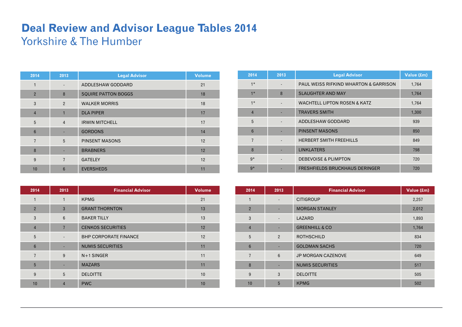## **Deal Review and Advisor League Tables 2014**  Yorkshire & The Humber

| 2014           | 2013                     | <b>Legal Advisor</b>       | <b>Volume</b> |
|----------------|--------------------------|----------------------------|---------------|
| 1              | $\overline{\phantom{a}}$ | ADDLESHAW GODDARD          | 21            |
| $\overline{2}$ | 8                        | <b>SQUIRE PATTON BOGGS</b> | 18            |
| 3              | $\overline{2}$           | <b>WALKER MORRIS</b>       | 18            |
| $\overline{4}$ | 1                        | <b>DLA PIPER</b>           | 17            |
| 5              | $\overline{4}$           | <b>IRWIN MITCHELL</b>      | 17            |
| $6\phantom{1}$ |                          | <b>GORDONS</b>             | 14            |
| $\overline{7}$ | 5                        | <b>PINSENT MASONS</b>      | 12            |
| 8              |                          | <b>BRABNERS</b>            | 12            |
| 9              | $\overline{7}$           | <b>GATELEY</b>             | 12            |
| 10             | $6\phantom{1}$           | <b>EVERSHEDS</b>           | 11            |

| 2014           | 2013           | <b>Financial Advisor</b>     | <b>Volume</b> |
|----------------|----------------|------------------------------|---------------|
| 1              | $\mathbf{1}$   | <b>KPMG</b>                  | 21            |
| $\overline{2}$ | $\mathbf{3}$   | <b>GRANT THORNTON</b>        | 13            |
| 3              | 6              | <b>BAKER TILLY</b>           | 13            |
| $\overline{4}$ | $\overline{7}$ | <b>CENKOS SECURITIES</b>     | 12            |
| 5              |                | <b>BHP CORPORATE FINANCE</b> | 12            |
| $6\phantom{1}$ |                | <b>NUMIS SECURITIES</b>      | 11            |
| $\overline{7}$ | 9              | $N+1$ SINGER                 | 11            |
| 5              |                | <b>MAZARS</b>                | 11            |
| 9              | 5              | <b>DELOITTE</b>              | 10            |
| 10             | 4              | <b>PWC</b>                   | 10            |

| 2014            | 2013 | <b>Legal Advisor</b>                             | Value (£m) |
|-----------------|------|--------------------------------------------------|------------|
| $1*$            |      | <b>PAUL WEISS RIFKIND WHARTON &amp; GARRISON</b> | 1,764      |
| $1*$            | 8    | <b>SLAUGHTER AND MAY</b>                         | 1,764      |
| $1*$            |      | <b>WACHTELL LIPTON ROSEN &amp; KATZ</b>          | 1,764      |
| $\overline{4}$  |      | <b>TRAVERS SMITH</b>                             | 1,300      |
| 5               |      | ADDLESHAW GODDARD                                | 939        |
| $6\phantom{1}6$ |      | <b>PINSENT MASONS</b>                            | 850        |
| $\overline{7}$  |      | <b>HERBERT SMITH FREEHILLS</b>                   | 849        |
| 8               |      | <b>LINKLATERS</b>                                | 798        |
| $9*$            |      | <b>DEBEVOISE &amp; PLIMPTON</b>                  | 720        |
| $9*$            |      | <b>FRESHFIELDS BRUCKHAUS DERINGER</b>            | 720        |

| 2014            | 2013                         | <b>Financial Advisor</b>  | Value (£m) |
|-----------------|------------------------------|---------------------------|------------|
| $\mathbf{1}$    | $\overline{\phantom{a}}$     | <b>CITIGROUP</b>          | 2,257      |
| $\overline{2}$  | ٠                            | <b>MORGAN STANLEY</b>     | 2,012      |
| 3               | $\qquad \qquad \blacksquare$ | LAZARD                    | 1,893      |
| $\overline{4}$  | ٠                            | <b>GREENHILL &amp; CO</b> | 1,764      |
| 5               | $\overline{2}$               | <b>ROTHSCHILD</b>         | 834        |
| $6\phantom{1}6$ | -                            | <b>GOLDMAN SACHS</b>      | 720        |
| $\overline{7}$  | 6                            | <b>JP MORGAN CAZENOVE</b> | 649        |
| 8               | ٠                            | <b>NUMIS SECURITIES</b>   | 517        |
| 9               | 3                            | <b>DELOITTE</b>           | 505        |
| 10              | 5                            | <b>KPMG</b>               | 502        |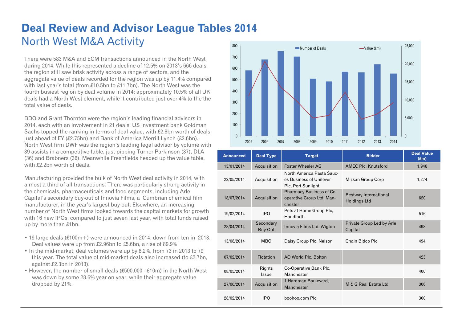#### **Deal Review and Advisor League Tables 2014**  North West M&A Activity 800

There were 583 M&A and ECM transactions announced in the North West during 2014. While this represented a decline of 12.5% on 2013's 666 deals, the region still saw brisk activity across a range of sectors, and the aggregate value of deals recorded for the region was up by 11.4% compared with last year's total (from £10.5bn to £11.7bn). The North West was the fourth busiest region by deal volume in 2014; approximately 10.5% of all UK deals had a North West element, while it contributed just over 4% to the the total value of deals.

BDO and Grant Thornton were the region's leading financial advisors in 2014, each with an involvement in 21 deals. US investment bank Goldman Sachs topped the ranking in terms of deal value, with £2.8bn worth of deals, just ahead of EY (£2.75bn) and Bank of America Merrill Lynch (£2.6bn). North West firm DWF was the region's leading legal advisor by volume with 39 assists in a competitive table, just pipping Turner Parkinson (37), DLA (36) and Brabners (36). Meanwhile Freshfields headed up the value table, with £2.2bn worth of deals.

Manufacturing provided the bulk of North West deal activity in 2014, with almost a third of all transactions. There was particularly strong activity in the chemicals, pharmaceuticals and food segments, including Arle Capital's secondary buy-out of Innovia Films, a Cumbrian chemical film manufacturer, in the year's largest buy-out. Elsewhere, an increasing number of North West firms looked towards the capital markets for growth with 16 new IPOs, compared to just seven last year, with total funds raised up by more than £1bn.

- 19 large deals (£100m+) were announced in 2014, down from ten in 2013. Deal values were up from £2.96bn to £5.6bn, a rise of 89.9%
- In the mid-market, deal volumes were up by 8.2%, from 73 in 2013 to 79 this year. The total value of mid-market deals also increased (to £2.7bn, against £2.3bn in 2013).
- However, the number of small deals (£500,000 £10m) in the North West was down by some 28.6% year on year, while their aggregate value dropped by 21%.



| <b>Announced</b> | <b>Deal Type</b>     | <b>Target</b>                                                                     | <b>Bidder</b>                         | <b>Deal Value</b><br>$(\text{km})$ |
|------------------|----------------------|-----------------------------------------------------------------------------------|---------------------------------------|------------------------------------|
| 13/01/2014       | Acquisition          | <b>Foster Wheeler AG</b>                                                          | <b>AMEC Plc, Knutsford</b>            | 1,946                              |
| 22/05/2014       | Acquisition          | North America Pasta Sauc-<br>es Business of Unilever<br><b>Plc. Port Sunlight</b> | Mizkan Group Corp                     | 1,274                              |
| 18/07/2014       | Acquisition          | Pharmacy Business of Co-<br>operative Group Ltd, Man-<br>chester                  | Bestway International<br>Holdings Ltd | 620                                |
| 19/02/2014       | <b>IPO</b>           | Pets at Home Group Plc,<br>Handforth                                              |                                       | 516                                |
| 28/04/2014       | Secondary<br>Buy-Out | Innovia Films Ltd, Wigton                                                         | Private Group Led by Arle<br>Capital  | 498                                |
| 13/08/2014       | <b>MBO</b>           | Daisy Group Plc, Nelson                                                           | Chain Bidco Plc                       | 494                                |
| 07/02/2014       | Flotation            | AO World Plc, Bolton                                                              |                                       | 423                                |
| 08/05/2014       | Rights<br>Issue      | Co-Operative Bank Plc,<br>Manchester                                              |                                       | 400                                |
| 27/06/2014       | Acquisition          | 1 Hardman Boulevard,<br>Manchester                                                | M & G Real Estate Ltd                 | 306                                |
| 28/02/2014       | <b>IPO</b>           | boohoo.com Plc                                                                    |                                       | 300                                |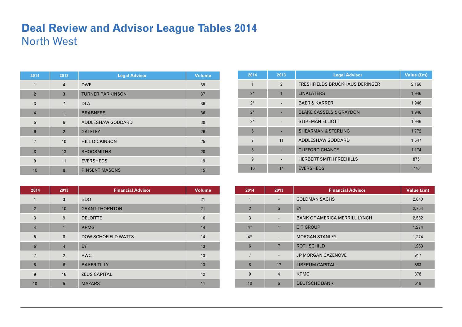### **Deal Review and Advisor League Tables 2014**  North West

| 2014           | 2013           | <b>Legal Advisor</b>    | <b>Volume</b> |
|----------------|----------------|-------------------------|---------------|
| 1              | $\overline{4}$ | <b>DWF</b>              | 39            |
| $\overline{2}$ | $\mathbf{3}$   | <b>TURNER PARKINSON</b> | 37            |
| 3              | $\overline{7}$ | <b>DLA</b>              | 36            |
| $\overline{4}$ | $\overline{1}$ | <b>BRABNERS</b>         | 36            |
| 5              | 6              | ADDLESHAW GODDARD       | 30            |
| $6\phantom{1}$ | $\overline{2}$ | <b>GATELEY</b>          | 26            |
| $\overline{7}$ | 10             | <b>HILL DICKINSON</b>   | 25            |
| 8              | 13             | <b>SHOOSMITHS</b>       | 20            |
| 9              | 11             | <b>EVERSHEDS</b>        | 19            |
| 10             | 8              | <b>PINSENT MASONS</b>   | 15            |

| 2014           | 2013            | <b>Financial Advisor</b>   | <b>Volume</b> |
|----------------|-----------------|----------------------------|---------------|
| 1              | 3               | <b>BDO</b>                 | 21            |
| $\overline{2}$ | 10              | <b>GRANT THORNTON</b>      | 21            |
| 3              | 9               | <b>DELOITTE</b>            | 16            |
| $\overline{4}$ | 1               | <b>KPMG</b>                | 14            |
| 5              | 8               | <b>DOW SCHOFIELD WATTS</b> | 14            |
| $6\phantom{1}$ | $\overline{4}$  | EY                         | 13            |
| $\overline{7}$ | 2               | <b>PWC</b>                 | 13            |
| 8              | $6\phantom{1}6$ | <b>BAKER TILLY</b>         | 13            |
| 9              | 16              | <b>ZEUS CAPITAL</b>        | 12            |
| 10             | 5               | <b>MAZARS</b>              | 11            |

| 2014            | 2013                         | <b>Legal Advisor</b>               | Value (£m) |
|-----------------|------------------------------|------------------------------------|------------|
| $\mathbf{1}$    | 2                            | FRESHFIELDS BRUCKHAUS DERINGER     | 2,166      |
| $2*$            | $\mathbf{1}$                 | <b>LINKLATERS</b>                  | 1,946      |
| $2*$            |                              | <b>BAER &amp; KARRER</b>           | 1,946      |
| $2*$            |                              | <b>BLAKE CASSELS &amp; GRAYDON</b> | 1,946      |
| $2*$            |                              | <b>STIKEMAN ELLIOTT</b>            | 1,946      |
| $6\phantom{1}6$ |                              | <b>SHEARMAN &amp; STERLING</b>     | 1,772      |
| $\overline{7}$  | 11                           | ADDLESHAW GODDARD                  | 1,547      |
| 8               |                              | <b>CLIFFORD CHANCE</b>             | 1,174      |
| 9               | $\qquad \qquad \blacksquare$ | <b>HERBERT SMITH FREEHILLS</b>     | 875        |
| 10              | 14                           | <b>EVERSHEDS</b>                   | 770        |

| 2014           | 2013                     | <b>Financial Advisor</b>             | Value (£m) |
|----------------|--------------------------|--------------------------------------|------------|
| 1              |                          | <b>GOLDMAN SACHS</b>                 | 2,840      |
| $\overline{2}$ | 5                        | EY                                   | 2,754      |
| 3              |                          | <b>BANK OF AMERICA MERRILL LYNCH</b> | 2,582      |
| $4*$           | 1                        | <b>CITIGROUP</b>                     | 1,274      |
| $4*$           |                          | <b>MORGAN STANLEY</b>                | 1,274      |
| $6\phantom{1}$ | 7                        | <b>ROTHSCHILD</b>                    | 1,263      |
| $\overline{7}$ | $\overline{\phantom{a}}$ | <b>JP MORGAN CAZENOVE</b>            | 917        |
| 8              | 17                       | <b>LIBERUM CAPITAL</b>               | 883        |
| 9              | $\overline{4}$           | <b>KPMG</b>                          | 878        |
| 10             | 6                        | <b>DEUTSCHE BANK</b>                 | 619        |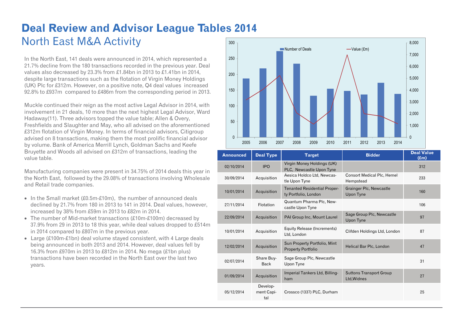#### **Deal Review and Advisor League Tables 2014**  North East M&A Activity 300

In the North East, 141 deals were announced in 2014, which represented a 21.7% decline from the 180 transactions recorded in the previous year. Deal values also decreased by 23.3% from £1.84bn in 2013 to £1.41bn in 2014, despite large transactions such as the flotation of Virgin Money Holdings (UK) Plc for £312m. However, on a positive note, Q4 deal values increased 92.8% to £937m compared to £486m from the corresponding period in 2013.

Muckle continued their reign as the most active Legal Advisor in 2014, with involvement in 21 deals, 10 more than the next highest Legal Advisor, Ward Hadaway(11). Three advisors topped the value table; Allen & Overy, Freshfields and Slaughter and May, who all advised on the aforementioned £312m flotation of Virgin Money. In terms of financial advisors, Citigroup advised on 8 transactions, making them the most prolific financial advisor by volume. Bank of America Merrill Lynch, Goldman Sachs and Keefe Bruyette and Woods all advised on £312m of transactions, leading the value table.

Manufacturing companies were present in 34.75% of 2014 deals this year in the North East, followed by the 29.08% of transactions involving Wholesale and Retail trade companies.

- In the Small market  $£0.5m-E10m$ , the number of announced deals declined by 21.7% from 180 in 2013 to 141 in 2014. Deal values, however, increased by 38% from £59m in 2013 to £82m in 2014.
- The number of Mid-market transactions (£10m-£100m) decreased by 37.9% from 29 in 2013 to 18 this year, while deal values dropped to £514m in 2014 compared to £807m in the previous year.
- Large (£100m-£1bn) deal volume stayed consistent, with 4 Large deals being announced in both 2013 and 2014. However, deal values fell by 16.3% from £970m in 2013 to £812m in 2014. No mega (£1bn plus) transactions have been recorded in the North East over the last two years.



| <b>Announced</b> | <b>Deal Type</b>              | <b>Target</b>                                               | <b>Bidder</b>                                  | <b>Deal Value</b><br>$(\text{Em})$ |
|------------------|-------------------------------|-------------------------------------------------------------|------------------------------------------------|------------------------------------|
| 02/10/2014       | <b>IPO</b>                    | Virgin Money Holdings (UK)<br>PLC, Newcastle Upon Tyne      |                                                | 312                                |
| 30/09/2014       | Acquisition                   | Aesica Holdco Ltd, Newcas-<br>tle Upon Tyne                 | <b>Consort Medical Plc, Hemel</b><br>Hempstead | 233                                |
| 10/01/2014       | Acquisition                   | <b>Tenanted Residential Proper-</b><br>ty Portfolio, London | Grainger Plc, Newcastle<br>Upon Tyne           | 160                                |
| 27/11/2014       | <b>Flotation</b>              | Quantum Pharma Plc, New-<br>castle Upon Tyne                |                                                | 106                                |
| 22/09/2014       | Acquisition                   | PAI Group Inc, Mount Laurel                                 | Sage Group Plc, Newcastle<br>Upon Tyne         | 97                                 |
| 10/01/2014       | Acquisition                   | Equity Release (Increments)<br>Ltd, London                  | Clifden Holdings Ltd, London                   | 87                                 |
| 12/02/2014       | Acquisition                   | Sun Property Portfolio, Mint<br><b>Property Portfolio</b>   | Helical Bar Plc, London                        | 47                                 |
| 02/07/2014       | Share Buy-<br><b>Back</b>     | Sage Group Plc, Newcastle<br>Upon Tyne                      |                                                | 31                                 |
| 01/09/2014       | Acquisition                   | Imperial Tankers Ltd, Billing-<br>ham                       | <b>Suttons Transport Group</b><br>Ltd, Widnes  | 27                                 |
| 05/12/2014       | Develop-<br>ment Capi-<br>tal | Crossco (1337) PLC, Durham                                  |                                                | 25                                 |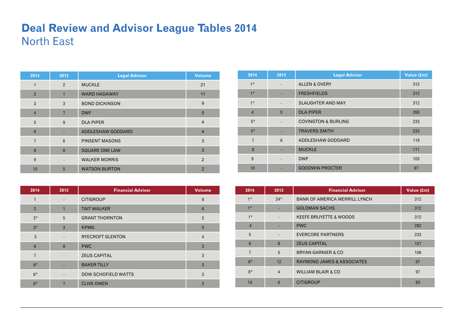### **Deal Review and Advisor League Tables 2014**  North East

| 2014           | 2013           | <b>Legal Advisor</b>  | <b>Volume</b>  |
|----------------|----------------|-----------------------|----------------|
| 1              | $\overline{2}$ | <b>MUCKLE</b>         | 21             |
| $\overline{2}$ | $\mathbf{1}$   | <b>WARD HADAWAY</b>   | 11             |
| 3              | 3              | <b>BOND DICKINSON</b> | 9              |
| $\overline{4}$ | $\overline{7}$ | <b>DWF</b>            | 5              |
| 5              | 9              | <b>DLA PIPER</b>      | $\overline{4}$ |
| $6\phantom{1}$ |                | ADDLESHAW GODDARD     | $\overline{4}$ |
| $\overline{7}$ | 6              | <b>PINSENT MASONS</b> | 3              |
| 8              | 8              | <b>SQUARE ONE LAW</b> | 3              |
| 9              |                | <b>WALKER MORRIS</b>  | 2              |
| 10             | 5              | <b>WATSON BURTON</b>  | $\overline{2}$ |

| 2014           | 2013                     | <b>Financial Advisor</b>   | <b>Volume</b>   |
|----------------|--------------------------|----------------------------|-----------------|
|                | $\overline{\phantom{a}}$ | <b>CITIGROUP</b>           | 8               |
| $\overline{2}$ | $\mathbf{1}$             | <b>TAIT WALKER</b>         | $6\phantom{1}6$ |
| $3*$           | 5                        | <b>GRANT THORNTON</b>      | 5               |
| $3*$           | 3                        | <b>KPMG</b>                | 5               |
| 5              |                          | <b>RYECROFT GLENTON</b>    | $\overline{4}$  |
| 6              | 8                        | <b>PWC</b>                 | 3               |
| $\overline{7}$ |                          | <b>ZEUS CAPITAL</b>        | 3               |
| $6*$           |                          | <b>BAKER TILLY</b>         | 3               |
| $6*$           |                          | <b>DOW SCHOFIELD WATTS</b> | 3               |
| $6*$           | 7                        | <b>CLIVE OWEN</b>          | 3               |

| 2014           | 2013                     | <b>Legal Advisor</b>           | Value (£m) |
|----------------|--------------------------|--------------------------------|------------|
| $1*$           |                          | <b>ALLEN &amp; OVERY</b>       | 312        |
| $1*$           |                          | <b>FRESHFIELDS</b>             | 312        |
| $1*$           | $\overline{\phantom{a}}$ | <b>SLAUGHTER AND MAY</b>       | 312        |
| $\overline{4}$ | 5                        | <b>DLA PIPER</b>               | 260        |
| $5*$           |                          | <b>COVINGTON &amp; BURLING</b> | 233        |
| $5*$           |                          | <b>TRAVERS SMITH</b>           | 233        |
| $\overline{7}$ | 6                        | ADDLESHAW GODDARD              | 118        |
| 8              |                          | <b>MUCKLE</b>                  | 111        |
| 9              | $\overline{\phantom{a}}$ | <b>DWF</b>                     | 103        |
| 10             |                          | <b>GOODWIN PROCTER</b>         | 97         |

| 2014            | 2013                     | <b>Financial Advisor</b>              | Value (£m) |
|-----------------|--------------------------|---------------------------------------|------------|
| $1*$            | $24*$                    | <b>BANK OF AMERICA MERRILL LYNCH</b>  | 312        |
| $1*$            |                          | <b>GOLDMAN SACHS</b>                  | 312        |
| $1*$            | $\overline{\phantom{a}}$ | <b>KEEFE BRUYETTE &amp; WOODS</b>     | 312        |
| $\overline{4}$  |                          | <b>PWC</b>                            | 282        |
| 5               |                          | <b>EVERCORE PARTNERS</b>              | 233        |
| $6\phantom{1}6$ | 8                        | <b>ZEUS CAPITAL</b>                   | 107        |
| $\overline{7}$  | 5                        | <b>BRYAN GARNIER &amp; CO</b>         | 106        |
| $8*$            | 12                       | <b>RAYMOND JAMES &amp; ASSOCIATES</b> | 97         |
| $8*$            | $\overline{4}$           | <b>WILLIAM BLAIR &amp; CO</b>         | 97         |
| 10              | 6                        | <b>CITIGROUP</b>                      | 83         |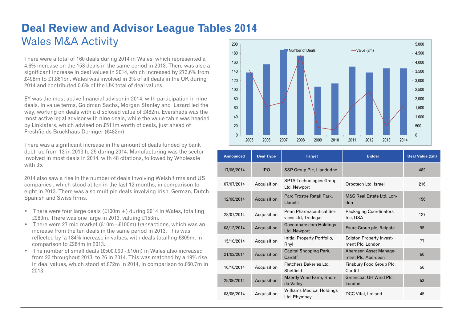#### **Deal Review and Advisor League Tables 2014**  Wales M&A Activity 200

There were a total of 160 deals during 2014 in Wales, which represented a 4.6% increase on the 153 deals in the same period in 2013. There was also a significant increase in deal values in 2014, which increased by 273.6% from £498m to £1.861bn. Wales was involved in 3% of all deals in the UK during 2014 and contributed 0.6% of the UK total of deal values.

EY was the most active financial advisor in 2014, with participation in nine deals. In value terms, Goldman Sachs, Morgan Stanley and Lazard led the way, working on deals with a disclosed value of £482m. Eversheds was the most active legal advisor with nine deals, while the value table was headed by Linklaters, which advised on £511m worth of deals, just ahead of Freshfields Bruckhaus Deringer (£482m).

There was a significant increase in the amount of deals funded by bank debt, up from 13 in 2013 to 25 during 2014. Manufacturing was the sector involved in most deals in 2014, with 48 citations, followed by Wholesale with 35.

2014 also saw a rise in the number of deals involving Welsh firms and US companies , which stood at ten in the last 12 months, in comparison to eight in 2013. There was also multiple deals involving Irish, German, Dutch Spanish and Swiss firms.

- There were four large deals (£100m +) during 2014 in Wales, totalling £980m. There was one large in 2013, valuing £153m.
- There were 27 mid market (£10m £100m) transactions, which was an increase from the ten deals in the same period in 2013. This was reflected by a 184% increase in values, with deals totalling £809m, in comparison to £284m in 2013.
- The number of small deals (£500,000 £10m) in Wales also increased from 23 throughout 2013, to 26 in 2014. This was matched by a 19% rise in deal values, which stood at £72m in 2014, in comparison to £60.7m in 2013.



| <b>Announced</b> | <b>Deal Type</b> | <b>Target</b>                                   | <b>Bidder</b>                                       | Deal Value (£m) |
|------------------|------------------|-------------------------------------------------|-----------------------------------------------------|-----------------|
| 17/06/2014       | <b>IPO</b>       | SSP Group Plc, Llandudno                        |                                                     | 482             |
| 07/07/2014       | Acquisition      | <b>SPTS Technologies Group</b><br>Ltd, Newport  | Orbotech Ltd, Israel                                | 216             |
| 12/08/2014       | Acquisition      | Parc Trostre Retail Park,<br>Llanelli           | M&G Real Estate Ltd, Lon-<br>don                    | 156             |
| 28/07/2014       | Acquisition      | Penn Pharmaceutical Ser-<br>vices Ltd, Tredegar | Packaging Coordinators<br>Inc, USA                  | 127             |
| 08/12/2014       | Acquisition      | Gocompare.com Holdings<br>Ltd, Newport          | Esure Group plc, Reigate                            | 95              |
| 15/10/2014       | Acquisition      | Initial Property Portfolio,<br>Rhyl             | <b>Ediston Property Invest-</b><br>ment Plc, London | 77              |
| 21/02/2014       | Acquisition      | Capital Shopping Park,<br>Cardiff               | Aberdeen Asset Manage-<br>ment Plc, Aberdeen        | 60              |
| 10/10/2014       | Acquisition      | Fletchers Bakeries Ltd,<br>Sheffield            | Finsbury Food Group Plc,<br>Cardiff                 | 56              |
| 25/06/2014       | Acquisition      | Maerdy Wind Farm, Rhon-<br>da Valley            | Greencoat UK Wind Plc,<br>London                    | 53              |
| 03/06/2014       | Acquisition      | Williams Medical Holdings<br>Ltd, Rhymney       | DCC Vital, lireland                                 | 45              |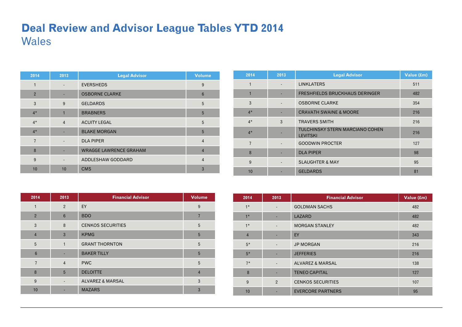## **Deal Review and Advisor League Tables YTD 2014**  Wales

| 2014           | 2013                     | <b>Legal Advisor</b>          | <b>Volume</b>  |
|----------------|--------------------------|-------------------------------|----------------|
| 1              | $\overline{\phantom{0}}$ | <b>EVERSHEDS</b>              | 9              |
| $\overline{2}$ |                          | <b>OSBORNE CLARKE</b>         | 6              |
| 3              | 9                        | <b>GELDARDS</b>               | 5              |
| $4*$           | $\blacksquare$           | <b>BRABNERS</b>               | 5              |
| $4*$           | $\overline{4}$           | <b>ACUITY LEGAL</b>           | 5              |
| $4*$           |                          | <b>BLAKE MORGAN</b>           | 5              |
| $\overline{7}$ |                          | <b>DLA PIPER</b>              | $\overline{4}$ |
| 8              |                          | <b>WRAGGE LAWRENCE GRAHAM</b> | $\overline{4}$ |
| 9              | $\overline{\phantom{a}}$ | ADDLESHAW GODDARD             | $\overline{4}$ |
| 10             | 10                       | <b>CMS</b>                    | 3              |

| 2014           | 2013 | <b>Legal Advisor</b>                                      | Value (£m) |
|----------------|------|-----------------------------------------------------------|------------|
|                |      | <b>LINKLATERS</b>                                         | 511        |
| 1              |      | <b>FRESHFIELDS BRUCKHAUS DERINGER</b>                     | 482        |
| 3              |      | <b>OSBORNE CLARKE</b>                                     | 354        |
| $4*$           |      | <b>CRAVATH SWAINE &amp; MOORE</b>                         | 216        |
| $4*$           | 3    | <b>TRAVERS SMITH</b>                                      | 216        |
| $4*$           |      | <b>TULCHINSKY STERN MARCIANO COHEN</b><br><b>LEVITSKI</b> | 216        |
| $\overline{7}$ |      | <b>GOODWIN PROCTER</b>                                    | 127        |
| 8              |      | <b>DLA PIPER</b>                                          | 98         |
| 9              |      | <b>SLAUGHTER &amp; MAY</b>                                | 95         |
| 10             |      | <b>GELDARDS</b>                                           | 81         |

| 2014           | 2013                     | <b>Financial Advisor</b>    | <b>Volume</b>  |
|----------------|--------------------------|-----------------------------|----------------|
| 1              | $\overline{2}$           | EY                          | 9              |
| $\overline{2}$ | $6\phantom{1}6$          | <b>BDO</b>                  | 7              |
| 3              | 8                        | <b>CENKOS SECURITIES</b>    | 5              |
| $\overline{4}$ | 3                        | <b>KPMG</b>                 | 5              |
| 5              | 1                        | <b>GRANT THORNTON</b>       | 5              |
| 6              |                          | <b>BAKER TILLY</b>          | 5              |
| $\overline{7}$ | $\overline{4}$           | <b>PWC</b>                  | 5              |
| 8              | 5                        | <b>DELOITTE</b>             | $\overline{4}$ |
| 9              | $\overline{\phantom{a}}$ | <b>ALVAREZ &amp; MARSAL</b> | 3              |
| 10             |                          | <b>MAZARS</b>               | 3              |

| 2014           | 2013                     | <b>Financial Advisor</b>    | Value (£m) |
|----------------|--------------------------|-----------------------------|------------|
| $1*$           |                          | <b>GOLDMAN SACHS</b>        | 482        |
| $1*$           |                          | LAZARD                      | 482        |
| $1*$           | $\overline{\phantom{a}}$ | <b>MORGAN STANLEY</b>       | 482        |
| $\overline{4}$ |                          | EY                          | 343        |
| $5*$           | $\overline{\phantom{a}}$ | <b>JP MORGAN</b>            | 216        |
| $5*$           | $\overline{\phantom{a}}$ | <b>JEFFERIES</b>            | 216        |
| $7*$           | $\overline{\phantom{a}}$ | <b>ALVAREZ &amp; MARSAL</b> | 138        |
| 8              | $\overline{\phantom{a}}$ | <b>TENEO CAPITAL</b>        | 127        |
| 9              | $\overline{2}$           | <b>CENKOS SECURITIES</b>    | 107        |
| 10             |                          | <b>EVERCORE PARTNERS</b>    | 95         |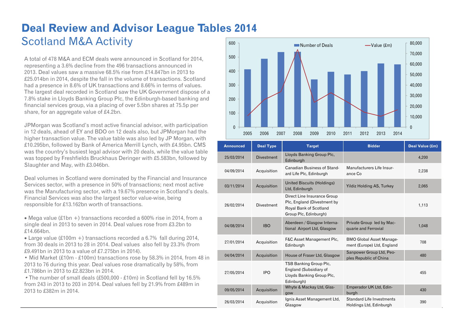#### **Deal Review and Advisor League Tables 2014**  Scotland M&A Activity 600

A total of 478 M&A and ECM deals were announced in Scotland for 2014, representing a 3.6% decline from the 496 transactions announced in 2013. Deal values saw a massive 68.5% rise from £14.847bn in 2013 to £25.014bn in 2014, despite the fall in the volume of transactions. Scotland had a presence in 8.6% of UK transactions and 8.66% in terms of values. The largest deal recorded in Scotland saw the UK Government dispose of a 7.8% stake in Lloyds Banking Group Plc, the Edinburgh-based banking and financial services group, via a placing of over 5.5bn shares at 75.5p per share, for an aggregate value of £4.2bn.

JPMorgan was Scotland's most active financial advisor, with participation in 12 deals, ahead of EY and BDO on 12 deals also, but JPMorgan had the higher transaction value. The value table was also led by JP Morgan, with £10.295bn, followed by Bank of America Merrill Lynch, with £4.95bn. CMS was the country's busiest legal advisor with 20 deals, while the value table was topped by Freshfields Bruckhaus Deringer with £5.583bn, followed by Slaughter and May, with £3.046bn.

Deal volumes in Scotland were dominated by the Financial and Insurance Services sector, with a presence in 50% of transactions; next most active was the Manufacturing sector, with a 19.67% presence in Scotland's deals. Financial Services was also the largest sector value-wise, being responsible for £13.162bn worth of transactions.

 Mega value (£1bn +) transactions recorded a 600% rise in 2014, from a single deal in 2013 to seven in 2014. Deal values rose from £3.2bn to £14.664bn.

 Large value (£100m +) transactions recorded a 6.7% fall during 2014, from 30 deals in 2013 to 28 in 2014. Deal values also fell by 23.3% (from £9.491bn in 2013 to a value of £7.275bn in 2014).

• Mid Market (£10m - £100m) transactions rose by 58.3% in 2014, from 48 in 2013 to 76 during this year. Deal values rose dramatically by 58%, from £1.786bn in 2013 to £2.823bn in 2014

• The number of small deals (£500,000 - £10m) in Scotland fell by 16.5% from 243 in 2013 to 203 in 2014. Deal values fell by 21.9% from £489m in 2013 to £382m in 2014.



| <b>Announced</b> | <b>Deal Type</b>  | <b>Target</b>                                                                                                 | <b>Bidder</b>                                                 | Deal Value (£m) |
|------------------|-------------------|---------------------------------------------------------------------------------------------------------------|---------------------------------------------------------------|-----------------|
| 25/03/2014       | <b>Divestment</b> | Lloyds Banking Group Plc,<br>Edinburgh                                                                        |                                                               | 4,200           |
| 04/09/2014       | Acquisition       | Canadian Business of Stand-<br>ard Life Plc, Edinburgh                                                        | Manufacturers Life Insur-<br>ance Co                          | 2,238           |
| 03/11/2014       | Acquisition       | <b>United Biscuits (Holdings)</b><br>Ltd, Edinburgh                                                           | <b>Yildiz Holding AS, Turkey</b>                              | 2,065           |
| 26/02/2014       | <b>Divestment</b> | Direct Line Insurance Group<br>Plc, England (Divestment by<br>Royal Bank of Scotland<br>Group Plc, Edinburgh) |                                                               | 1,113           |
| 04/08/2014       | <b>IBO</b>        | Aberdeen / Glasgow Interna-<br>tional Airport Ltd, Glasgow                                                    | Private Group led by Mac-<br>quarie and Ferrovial             | 1,048           |
| 27/01/2014       | Acquisition       | F&C Asset Management Plc,<br>Edinburgh                                                                        | <b>BMO Global Asset Manage-</b><br>ment (Europe) Ltd, England | 708             |
| 04/04/2014       | Acquisition       | House of Fraser Ltd, Glasgow                                                                                  | Sanpower Group Ltd, Peo-<br>ples Republic of China            | 480             |
| 27/05/2014       | <b>IPO</b>        | TSB Banking Group Plc,<br>England (Subsidiary of<br>Lloyds Banking Group Plc,<br>Edinburgh)                   |                                                               | 455             |
| 09/05/2014       | Acquisition       | Whyte & Mackay Ltd, Glas-<br>gow                                                                              | Emperador UK Ltd, Edin-<br>burgh                              | 430             |
| 26/03/2014       | Acquisition       | Ignis Asset Management Ltd,<br>Glasgow                                                                        | Standard Life Investments<br>Holdings Ltd, Edinburgh          | 390             |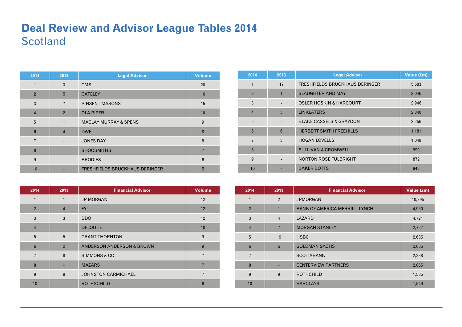### **Deal Review and Advisor League Tables 2014 Scotland**

| 2014           | 2013           | <b>Legal Advisor</b>                  | <b>Volume</b> |
|----------------|----------------|---------------------------------------|---------------|
| 1              | 3              | <b>CMS</b>                            | 20            |
| $\overline{2}$ | 5              | <b>GATELEY</b>                        | 16            |
| 3              | $\overline{7}$ | <b>PINSENT MASONS</b>                 | 15            |
| $\overline{4}$ | $\overline{2}$ | <b>DLA PIPER</b>                      | 10            |
| 5              | $\mathbf{1}$   | <b>MACLAY MURRAY &amp; SPENS</b>      | 9             |
| $6\phantom{1}$ | $\overline{4}$ | <b>DWF</b>                            | 8             |
| $\overline{7}$ |                | <b>JONES DAY</b>                      | 8             |
| 8              |                | <b>SHOOSMITHS</b>                     |               |
| 9              |                | <b>BRODIES</b>                        | 6             |
| 10             |                | <b>FRESHFIELDS BRUCKHAUS DERINGER</b> | 5             |

| 2014           | 2013           | <b>Financial Advisor</b>             | <b>Volume</b> |
|----------------|----------------|--------------------------------------|---------------|
|                | 1              | <b>JP MORGAN</b>                     | 12            |
| $\overline{2}$ | $\overline{4}$ | EY                                   | 12            |
| 3              | 3              | <b>BDO</b>                           | 12            |
| $\overline{4}$ |                | <b>DELOITTE</b>                      | 10            |
| 5              | 5              | <b>GRANT THORNTON</b>                | 9             |
| 6              | $\overline{2}$ | <b>ANDERSON ANDERSON &amp; BROWN</b> | 9             |
| $\overline{7}$ | 8              | SIMMONS & CO                         | 7             |
| 8              |                | <b>MAZARS</b>                        | 7             |
| 9              | 9              | <b>JOHNSTON CARMICHAEL</b>           |               |
| 10             |                | <b>ROTHSCHILD</b>                    | 6             |

| 2014            | 2013           | <b>Legal Advisor</b>                  | Value (£m) |
|-----------------|----------------|---------------------------------------|------------|
| 1               | 17             | <b>FRESHFIELDS BRUCKHAUS DERINGER</b> | 5,583      |
| $\overline{2}$  |                | <b>SLAUGHTER AND MAY</b>              | 3,046      |
| 3               |                | <b>OSLER HOSKIN &amp; HARCOURT</b>    | 2,946      |
| $\overline{4}$  | 5              | <b>LINKLATERS</b>                     | 2,840      |
| 5               |                | <b>BLAKE CASSELS &amp; GRAYDON</b>    | 2,256      |
| $6\phantom{1}$  | $6\phantom{1}$ | <b>HERBERT SMITH FREEHILLS</b>        | 1,181      |
| $\overline{7}$  | 3              | <b>HOGAN LOVELLS</b>                  | 1,048      |
| 8               |                | <b>SULLIVAN &amp; CROMWELL</b>        | 999        |
| 9               |                | <b>NORTON ROSE FULBRIGHT</b>          | 872        |
| 10 <sup>1</sup> |                | <b>BAKER BOTTS</b>                    | 848        |

| 2014           | 2013                     | <b>Financial Advisor</b>             | Value (£m) |
|----------------|--------------------------|--------------------------------------|------------|
| 1              | 2                        | <b>JPMORGAN</b>                      | 10,295     |
| $\overline{2}$ | 1                        | <b>BANK OF AMERICA MERRILL LYNCH</b> | 4,950      |
| 3              | $\overline{4}$           | LAZARD                               | 4,721      |
| $\overline{4}$ | $\overline{7}$           | <b>MORGAN STANLEY</b>                | 2,727      |
| 5              | 19                       | <b>HSBC</b>                          | 2,685      |
| $6\phantom{1}$ | 5                        | <b>GOLDMAN SACHS</b>                 | 2,635      |
| $\overline{7}$ | $\overline{\phantom{a}}$ | <b>SCOTIABANK</b>                    | 2,238      |
| 8              |                          | <b>CENTERVIEW PARTNERS</b>           | 2,065      |
| 9              | 9                        | <b>ROTHCHILD</b>                     | 1,585      |
| 10             |                          | <b>BARCLAYS</b>                      | 1,549      |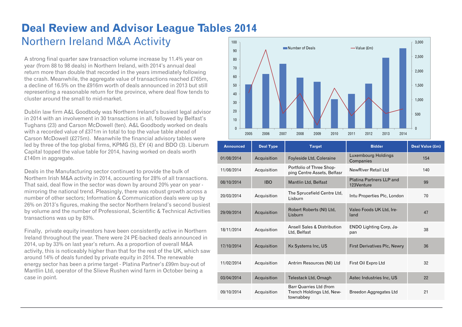#### **Deal Review and Advisor League Tables 2014**  Northern Ireland M&A Activity 100

A strong final quarter saw transaction volume increase by 11.4% year on year (from 88 to 98 deals) in Northern Ireland, with 2014's annual deal return more than double that recorded in the years immediately following the crash. Meanwhile, the aggregate value of transactions reached £765m, a decline of 16.5% on the £916m worth of deals announced in 2013 but still representing a reasonable return for the province, where deal flow tends to cluster around the small to mid-market.

Dublin law firm A&L Goodbody was Northern Ireland's busiest legal advisor in 2014 with an involvement in 30 transactions in all, followed by Belfast's Tughans (23) and Carson McDowell (ten). A&L Goodbody worked on deals with a recorded value of £371m in total to top the value table ahead of Carson McDowell (£275m). Meanwhile the financial advisory tables were led by three of the top global firms, KPMG (5), EY (4) and BDO (3). Liberum Capital topped the value table for 2014, having worked on deals worth £140m in aggregate.

Deals in the Manufacturing sector continued to provide the bulk of Northern Irish M&A activity in 2014, accounting for 28% of all transactions. That said, deal flow in the sector was down by around 20% year on year mirroring the national trend. Pleasingly, there was robust growth across a number of other sectors; Information & Communication deals were up by 26% on 2013's figures, making the sector Northern Ireland's second busiest by volume and the number of Professional, Scientific & Technical Activities transactions was up by 83%.

Finally, private equity investors have been consistently active in Northern Ireland throughout the year. There were 24 PE-backed deals announced in 2014, up by 33% on last year's return. As a proportion of overall M&A activity, this is noticeably higher than that for the rest of the UK, which saw around 14% of deals funded by private equity in 2014. The renewable energy sector has been a prime target - Platina Partner's £99m buy-out of Mantlin Ltd, operator of the Slieve Rushen wind farm in October being a case in point.



| <b>Announced</b> | <b>Deal Type</b> | <b>Target</b>                                                     | <b>Bidder</b>                           | Deal Value (£m) |
|------------------|------------------|-------------------------------------------------------------------|-----------------------------------------|-----------------|
| 01/08/2014       | Acquisition      | Foyleside Ltd, Coleraine                                          | Luxembourg Holdings<br>Companies        | 154             |
| 11/08/2014       | Acquisition      | Portfolio of Three Shop-<br>ping Centre Assets, Belfasr           | NewRiver Retail Ltd                     | 140             |
| 08/10/2014       | <b>IBO</b>       | Mantlin Ltd, Belfast                                              | Platina Partners II P and<br>123Venture | 99              |
| 20/03/2014       | Acquisition      | The Sprucefield Centre Ltd,<br>Lisburn                            | Intu Properties Plc, London             | 70              |
| 29/09/2014       | Acquisition      | Robert Roberts (NI) Ltd.<br>Lisburn                               | Valeo Foods UK Ltd, Ire-<br>land        | 47              |
| 18/11/2014       | Acquisition      | Ansell Sales & Distribution<br>Ltd, Belfast                       | ENDO Lighting Corp, Ja-<br>pan          | 38              |
| 17/10/2014       | Acquisition      | Kx Systems Inc, US                                                | <b>First Derivatives Plc, Newry</b>     | 36              |
| 11/02/2014       | Acquisition      | Antrim Resources (NI) Ltd                                         | First Oil Expro Ltd                     | 32              |
| 03/04/2014       | Acquisition      | Telestack Ltd, Omagh                                              | Astec Industries Inc, US                | 22              |
| 09/10/2014       | Acquisition      | Barr Quarries Ltd (from<br>Trench Holdings Ltd, New-<br>townabbey | <b>Breedon Aggregates Ltd</b>           | 21              |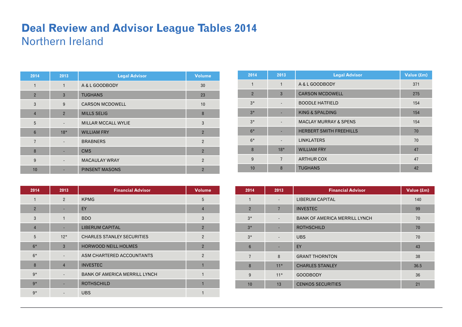### **Deal Review and Advisor League Tables 2014**  Northern Ireland

| 2014            | 2013                     | <b>Legal Advisor</b>       | <b>Volume</b>  |
|-----------------|--------------------------|----------------------------|----------------|
| 1               | $\mathbf{1}$             | A & L GOODBODY             | 30             |
| $\overline{2}$  | $\mathbf{3}$             | <b>TUGHANS</b>             | 23             |
| 3               | 9                        | <b>CARSON MCDOWELL</b>     | 10             |
| $\overline{4}$  | $\overline{2}$           | <b>MILLS SELIG</b>         | 8              |
| 5               |                          | <b>MILLAR MCCALL WYLIE</b> | 3              |
| $6\phantom{1}6$ | $18*$                    | <b>WILLIAM FRY</b>         | $\overline{2}$ |
| $\overline{7}$  | $\overline{\phantom{a}}$ | <b>BRABNERS</b>            | $\overline{2}$ |
| 8               |                          | <b>CMS</b>                 | $\overline{2}$ |
| 9               |                          | <b>MACAULAY WRAY</b>       | $\overline{2}$ |
| 10              |                          | <b>PINSENT MASONS</b>      | $\overline{2}$ |

| 2014           | 2013                     | <b>Financial Advisor</b>             | <b>Volume</b>  |
|----------------|--------------------------|--------------------------------------|----------------|
| 1              | 2                        | <b>KPMG</b>                          | 5              |
| $\overline{2}$ |                          | EY                                   | $\overline{4}$ |
| 3              | $\mathbf{1}$             | <b>BDO</b>                           | 3              |
| $\overline{4}$ |                          | <b>LIBERUM CAPITAL</b>               | $\overline{2}$ |
| 5              | $12*$                    | <b>CHARLES STANLEY SECURITIES</b>    | $\overline{2}$ |
| $6*$           | 3                        | <b>HORWOOD NEILL HOLMES</b>          | $\overline{2}$ |
| $6*$           | $\overline{\phantom{a}}$ | ASM CHARTERED ACCOUNTANTS            | 2              |
| 8              | $\overline{4}$           | <b>INVESTEC</b>                      | 1              |
| $9*$           |                          | <b>BANK OF AMERICA MERRILL LYNCH</b> | 1              |
| $9*$           |                          | <b>ROTHSCHILD</b>                    | 1              |
| $9*$           |                          | <b>UBS</b>                           |                |

| 2014           | 2013           | <b>Legal Advisor</b>             | Value (£m) |
|----------------|----------------|----------------------------------|------------|
| 1              | 1              | A & L GOODBODY                   | 371        |
| $\overline{2}$ | 3              | <b>CARSON MCDOWELL</b>           | 275        |
| $3*$           |                | <b>BOODLE HATFIELD</b>           | 154        |
| $3*$           |                | KING & SPALDING                  | 154        |
| $3*$           | $\overline{a}$ | <b>MACLAY MURRAY &amp; SPENS</b> | 154        |
| $6*$           |                | <b>HERBERT SMITH FREEHILLS</b>   | 70         |
| $6*$           |                | <b>LINKLATERS</b>                | 70         |
| 8              | $18*$          | <b>WILLIAM FRY</b>               | 47         |
| 9              | $\overline{7}$ | <b>ARTHUR COX</b>                | 47         |
| 10             | 8              | <b>TUGHANS</b>                   | 42         |

| 2014           | 2013                     | <b>Financial Advisor</b>             | Value (£m) |
|----------------|--------------------------|--------------------------------------|------------|
| 1              | $\overline{\phantom{a}}$ | <b>LIBERUM CAPITAL</b>               | 140        |
| $\overline{2}$ | $\overline{7}$           | <b>INVESTEC</b>                      | 99         |
| $3*$           |                          | <b>BANK OF AMERICA MERRILL LYNCH</b> | 70         |
| $3*$           |                          | <b>ROTHSCHILD</b>                    | 70         |
| $3*$           |                          | <b>UBS</b>                           | 70         |
| $6\phantom{1}$ |                          | EY                                   | 43         |
| $\overline{7}$ | 8                        | <b>GRANT THORNTON</b>                | 38         |
| 8              | $11*$                    | <b>CHARLES STANLEY</b>               | 36.5       |
| 9              | $11*$                    | <b>GOODBODY</b>                      | 36         |
| 10             | 13                       | <b>CENKOS SECURITIES</b>             | 21         |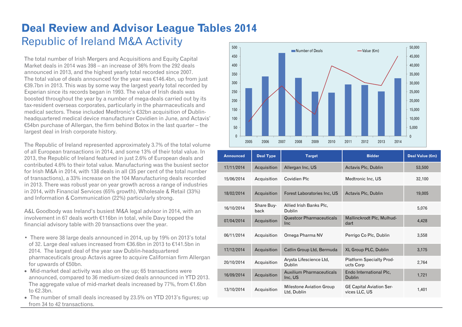### **Deal Review and Advisor League Tables 2014**  Republic of Ireland M&A Activity

The total number of Irish Mergers and Acquisitions and Equity Capital Market deals in 2014 was 398 – an increase of 36% from the 292 deals announced in 2013, and the highest yearly total recorded since 2007. The total value of deals announced for the year was €146.4bn, up from just €39.7bn in 2013. This was by some way the largest yearly total recorded by Experian since its records began in 1993. The value of Irish deals was boosted throughout the year by a number of mega-deals carried out by its tax-resident overseas corporates, particularly in the pharmaceuticals and medical sectors. These included Medtronic's €32bn acquisition of Dublinheadquartered medical device manufacturer Covidien in June, and Actavis' €54bn purchase of Allergan, the firm behind Botox in the last quarter – the largest deal in Irish corporate history.

The Republic of Ireland represented approximately 3.7% of the total volume of all European transactions in 2014, and some 13% of their total value. In 2013, the Republic of Ireland featured in just 2.6% of European deals and contributed 4.6% to their total value. Manufacturing was the busiest sector for Irish M&A in 2014, with 138 deals in all (35 per cent of the total number of transactions), a 33% increase on the 104 Manufacturing deals recorded in 2013. There was robust year on year growth across a range of industries in 2014, with Financial Services (65% growth), Wholesale & Retail (33%) and Information & Communication (22%) particularly strong.

A&L Goodbody was Ireland's busiest M&A legal advisor in 2014, with an involvement in 67 deals worth €116bn in total, while Davy topped the financial advisory table with 20 transactions over the year.

- There were 38 large deals announced in 2014, up by 19% on 2013's total of 32. Large deal values increased from €36.6bn in 2013 to €141.5bn in 2014. The largest deal of the year saw Dublin-headquartered pharmaceuticals group Actavis agree to acquire Californian firm Allergan for upwards of €50bn.
- Mid-market deal activity was also on the up; 65 transactions were announced, compared to 36 medium-sized deals announced in YTD 2013. The aggregate value of mid-market deals increased by 77%, from €1.6bn to €2.3bn.
- The number of small deals increased by 23.5% on YTD 2013's figures; up from 34 to 42 transactions.



| <b>Announced</b> | <b>Deal Type</b>   | <b>Target</b>                                  | <b>Bidder</b>                                    | Deal Value (€m) |
|------------------|--------------------|------------------------------------------------|--------------------------------------------------|-----------------|
| 17/11/2014       | Acquisition        | Allergan Inc, US                               | Actavis Plc, Dublin                              | 53,500          |
| 15/06/2014       | Acquisition        | Covidien Plc                                   | Medtronic Inc, US                                | 32,100          |
| 18/02/2014       | Acquisition        | Forest Laboratories Inc, US                    | Actavis Plc, Dublin                              | 19,005          |
| 16/10/2014       | Share Buy-<br>back | Allied Irish Banks Plc,<br>Dublin              |                                                  | 5,076           |
| 07/04/2014       | Acquisition        | <b>Questcor Pharmaceuticals</b><br><b>Inc</b>  | Mallinckrodt Plc, Mulhud-<br>dart                | 4,428           |
| 06/11/2014       | Acquisition        | Omega Pharma NV                                | Perrigo Co Plc, Dublin                           | 3,558           |
| 17/12/2014       | Acquisition        | Catlin Group Ltd, Bermuda                      | XL Group PLC, Dublin                             | 3,175           |
| 20/10/2014       | Acquisition        | Arysta Lifescience Ltd,<br>Dublin              | <b>Platform Specialty Prod-</b><br>ucts Corp     | 2,764           |
| 16/09/2014       | Acquisition        | <b>Auxilium Pharmaceuticals</b><br>Inc, US     | Endo International Plc.<br><b>Dublin</b>         | 1,721           |
| 13/10/2014       | Acquisition        | <b>Milestone Aviation Group</b><br>Ltd, Dublin | <b>GE Capital Aviation Ser-</b><br>vices LLC, US | 1,401           |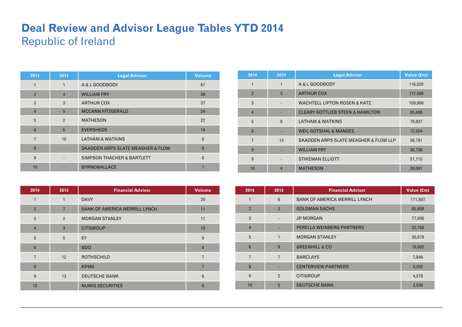## **Deal Review and Advisor League Tables YTD 2014**  Republic of Ireland

| 2014            | 2013           | <b>Legal Advisor</b>                         | <b>Volume</b> |
|-----------------|----------------|----------------------------------------------|---------------|
| 1               | $\mathbf{1}$   | A & L GOODBODY                               | 67            |
| $\overline{2}$  | $\overline{4}$ | <b>WILLIAM FRY</b>                           | 38            |
| 3               | 3              | <b>ARTHUR COX</b>                            | 37            |
| $\overline{4}$  | 5              | <b>MCCANN FITZGERALD</b>                     | 24            |
| 5               | 2              | <b>MATHESON</b>                              | 22            |
| $6\phantom{1}6$ | 6              | <b>EVERSHEDS</b>                             | 14            |
| $\overline{7}$  | 10             | <b>LATHAM &amp; WATKINS</b>                  | 8             |
| 8               |                | <b>SKADDEN ARPS SLATE MEAGHER &amp; FLOM</b> | 8             |
| 9               |                | <b>SIMPSON THACHER &amp; BARTLETT</b>        | 8             |
| 10              |                | <b>BYRNEWALLACE</b>                          |               |

| 2014            | 2013           | <b>Financial Advisor</b>             | <b>Volume</b>  |
|-----------------|----------------|--------------------------------------|----------------|
| $\mathbf{1}$    | $\mathbf{1}$   | <b>DAVY</b>                          | 20             |
| $\overline{2}$  | $\overline{7}$ | <b>BANK OF AMERICA MERRILL LYNCH</b> | 11             |
| 3               | $\overline{2}$ | <b>MORGAN STANLEY</b>                | 11             |
| $\overline{4}$  | 3              | <b>CITIGROUP</b>                     | 10             |
| 5               | 5              | EY                                   | 9              |
| $6\phantom{1}6$ |                | <b>BDO</b>                           | 9              |
| $\overline{7}$  | 12             | <b>ROTHSCHILD</b>                    | $\overline{7}$ |
| 8               |                | <b>KPMG</b>                          | $\overline{7}$ |
| 9               | 13             | <b>DEUTSCHE BANK</b>                 | $6\phantom{1}$ |
| 10              |                | <b>NUMIS SECURITIES</b>              | 6              |

| 2014            | 2013           | <b>Legal Advisor</b>                             | Value (€m) |
|-----------------|----------------|--------------------------------------------------|------------|
| 1               | 1              | A & L GOODBODY                                   | 116,020    |
| $\overline{2}$  | 3              | <b>ARTHUR COX</b>                                | 112,586    |
| 3               |                | <b>WACHTELL LIPTON ROSEN &amp; KATZ</b>          | 109,906    |
| $\overline{4}$  |                | <b>CLEARY GOTTLIEB STEEN &amp; HAMILTON</b>      | 85,608     |
| 5               | 6              | <b>LATHAM &amp; WATKINS</b>                      | 78,837     |
| $6\phantom{1}$  |                | <b>WEIL GOTSHAL &amp; MANGES</b>                 | 72,504     |
| $\overline{7}$  | 13             | <b>SKADDEN ARPS SLATE MEAGHER &amp; FLOM LLP</b> | 56,791     |
| 8               |                | <b>WILLIAM FRY</b>                               | 56,738     |
| 9               |                | <b>STIKEMAN ELLIOTT</b>                          | 51,115     |
| 10 <sup>1</sup> | $\overline{4}$ | <b>MATHESON</b>                                  | 39,061     |

| 2014           | 2013            | <b>Financial Advisor</b>             | Value (€m) |
|----------------|-----------------|--------------------------------------|------------|
| 1              | $6\phantom{1}6$ | <b>BANK OF AMERICA MERRILL LYNCH</b> | 111,507    |
| $\overline{2}$ | 3               | <b>GOLDMAN SACHS</b>                 | 85,608     |
| 3              |                 | <b>JP MORGAN</b>                     | 77,936     |
| $\overline{4}$ |                 | PERELLA WEINBERG PARTNERS            | 32,109     |
| 5              | 1               | <b>MORGAN STANLEY</b>                | 30,678     |
| 6              | 9               | <b>GREENHILL &amp; CO</b>            | 19,005     |
| $\overline{7}$ | $\overline{7}$  | <b>BARCLAYS</b>                      | 7,846      |
| 8              |                 | <b>CENTERVIEW PARTNERS</b>           | 5,292      |
| 9              | $\overline{2}$  | <b>CITIGROUP</b>                     | 4,578      |
| 10             | 5               | <b>DEUTSCHE BANK</b>                 | 3,536      |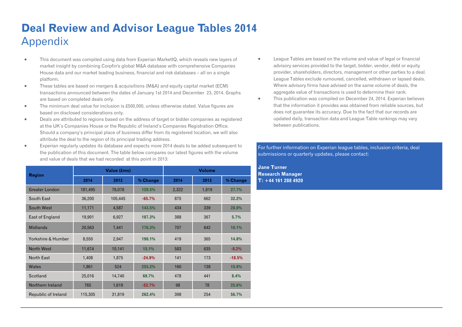## **Deal Review and Advisor League Tables 2014**  Appendix

- $\blacksquare$  This document was compiled using data from Experian MarketIQ, which reveals new layers of market insight by combining Corpfin's global M&A database with comprehensive Companies House data and our market leading business, financial and risk databases – all on a single platform.
- $\bullet$  These tables are based on mergers & acquisitions (M&A) and equity capital market (ECM) transactions announced between the dates of January 1st 2014 and December 23, 2014. Graphs are based on completed deals only.
- $\bullet$  The minimum deal value for inclusion is £500,000, unless otherwise stated. Value figures are based on disclosed considerations only.
- $\bullet$  Deals are attributed to regions based on the address of target or bidder companies as registered at the UK's Companies House or the Republic of Ireland's Companies Registration Office. Should a company's principal place of business differ from its registered location, we will also attribute the deal to the region of its principal trading address.
- $\blacksquare$  Experian regularly updates its database and expects more 2014 deals to be added subsequent to the publication of this document. The table below compares our latest figures with the volume and value of deals that we had recorded at this point in 2013:

| <b>Region</b>         |         | Value (£ms) |          | <b>Volume</b> |       |          |  |
|-----------------------|---------|-------------|----------|---------------|-------|----------|--|
|                       | 2014    | 2013        | % Change | 2014          | 2013  | % Change |  |
| <b>Greater London</b> | 181,495 | 79,078      | 129.5%   | 2,322         | 1,819 | 27.7%    |  |
| South East            | 36,200  | 105,445     | $-65.7%$ | 875           | 662   | 32.2%    |  |
| South West            | 11,171  | 4,587       | 143.5%   | 434           | 339   | 28.0%    |  |
| East of England       | 19,901  | 6,927       | 187.3%   | 388           | 367   | 5.7%     |  |
| <b>Midlands</b>       | 20,563  | 7,441       | 176.3%   | 707           | 642   | 10.1%    |  |
| Yorkshire & Humber    | 8,550   | 2,947       | 190.1%   | 419           | 365   | 14.8%    |  |
| <b>North West</b>     | 11,674  | 10,141      | 15.1%    | 583           | 635   | $-8.2%$  |  |
| North East            | 1,408   | 1,875       | $-24.9%$ | 141           | 173   | $-18.5%$ |  |
| Wales                 | 1,861   | 524         | 255.2%   | 160           | 138   | 15.9%    |  |
| Scotland              | 25,016  | 14,740      | 69.7%    | 478           | 441   | 8.4%     |  |
| Northern Ireland      | 765     | 1,619       | $-52.7%$ | 98            | 78    | 25.6%    |  |
| Republic of Ireland   | 115,305 | 31,819      | 262.4%   | 398           | 254   | 56.7%    |  |

- $\bullet$  League Tables are based on the volume and value of legal or financial advisory services provided to the target, bidder, vendor, debt or equity provider, shareholders, directors, management or other parties to a deal. League Tables exclude rumoured, cancelled, withdrawn or lapsed deals. Where advisory firms have advised on the same volume of deals, the aggregate value of transactions is used to determine their rank.
- $\bullet$  This publication was compiled on December 24, 2014. Experian believes that the information it provides was obtained from reliable sources, but does not guarantee its accuracy. Due to the fact that our records are updated daily, transaction data and League Table rankings may vary between publications.

#### For further information on Experian league tables, inclusion criteria, deal submissions or quarterly updates, please contact:

**Jane Turner Research Manager T: +44 161 288 4920**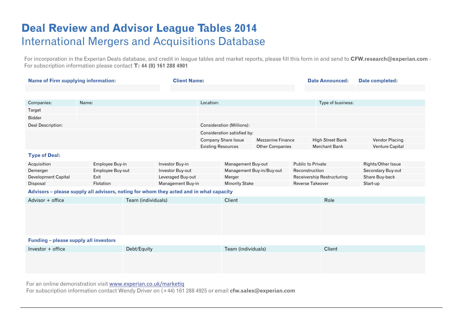### **Deal Review and Advisor League Tables 2014**  International Mergers and Acquisitions Database

For incorporation in the Experian Deals database, and credit in league tables and market reports, please fill this form in and send to **CFW.research@experian.com** - For subscription information please contact **T: 44 (0) 161 288 4901** 

| <b>Name of Firm supplying information:</b>                                             |       |                  | <b>Client Name:</b> |                    |                           |                                                  | <b>Date Announced:</b>   | Date completed:          |                                   |                    |
|----------------------------------------------------------------------------------------|-------|------------------|---------------------|--------------------|---------------------------|--------------------------------------------------|--------------------------|--------------------------|-----------------------------------|--------------------|
|                                                                                        |       |                  |                     |                    |                           |                                                  |                          |                          |                                   |                    |
|                                                                                        |       |                  |                     |                    |                           |                                                  |                          |                          |                                   |                    |
| Companies:                                                                             | Name: |                  |                     |                    | Location:                 |                                                  |                          |                          | Type of business:                 |                    |
| Target                                                                                 |       |                  |                     |                    |                           |                                                  |                          |                          |                                   |                    |
| <b>Bidder</b>                                                                          |       |                  |                     |                    |                           |                                                  |                          |                          |                                   |                    |
| Deal Description:                                                                      |       |                  |                     |                    |                           | <b>Consideration (Millions):</b>                 |                          |                          |                                   |                    |
|                                                                                        |       |                  |                     |                    |                           | Consideration satisfied by:                      |                          |                          |                                   |                    |
|                                                                                        |       |                  |                     |                    |                           | <b>Company Share Issue</b>                       | <b>Mezzanine Finance</b> |                          | <b>High Street Bank</b>           | Vendor Placing     |
|                                                                                        |       |                  |                     |                    | <b>Existing Resources</b> |                                                  | <b>Other Companies</b>   |                          | Merchant Bank                     | Venture Capital    |
| <b>Type of Deal:</b>                                                                   |       |                  |                     |                    |                           |                                                  |                          |                          |                                   |                    |
| Acquisition                                                                            |       | Employee Buy-in  |                     | Investor Buy-in    |                           | Management Buy-out                               |                          | <b>Public to Private</b> |                                   | Rights/Other Issue |
| Demerger                                                                               |       | Employee Buy-out |                     | Investor Buy-out   |                           | Management Buy-in/Buy-out                        |                          | Reconstruction           |                                   | Secondary Buy-out  |
| <b>Development Capital</b>                                                             |       | Exit             |                     | Leveraged Buy-out  |                           | Merger                                           |                          |                          | <b>Receivership Restructuring</b> | Share Buy-back     |
| Disposal                                                                               |       | Flotation        |                     | Management Buy-in  |                           | <b>Reverse Takeover</b><br><b>Minority Stake</b> |                          |                          | Start-up                          |                    |
| Advisors – please supply all advisors, noting for whom they acted and in what capacity |       |                  |                     |                    |                           |                                                  |                          |                          |                                   |                    |
| Advisor + office                                                                       |       |                  | Team (individuals)  | Client             |                           |                                                  | Role                     |                          |                                   |                    |
|                                                                                        |       |                  |                     |                    |                           |                                                  |                          |                          |                                   |                    |
|                                                                                        |       |                  |                     |                    |                           |                                                  |                          |                          |                                   |                    |
|                                                                                        |       |                  |                     |                    |                           |                                                  |                          |                          |                                   |                    |
|                                                                                        |       |                  |                     |                    |                           |                                                  |                          |                          |                                   |                    |
| Funding - please supply all investors                                                  |       |                  |                     |                    |                           |                                                  |                          |                          |                                   |                    |
|                                                                                        |       |                  |                     |                    |                           |                                                  |                          |                          |                                   |                    |
| Investor + office<br>Debt/Equity                                                       |       |                  |                     | Team (individuals) |                           |                                                  | Client                   |                          |                                   |                    |
|                                                                                        |       |                  |                     |                    |                           |                                                  |                          |                          |                                   |                    |
|                                                                                        |       |                  |                     |                    |                           |                                                  |                          |                          |                                   |                    |
|                                                                                        |       |                  |                     |                    |                           |                                                  |                          |                          |                                   |                    |

For an online demonstration visit [www.experian.co.uk/marke](http://www.experian.co.uk/marketiq)tiq

For subscription information contact Wendy Driver on (+44) 161 288 4925 or email **cfw.sales@experian.com**